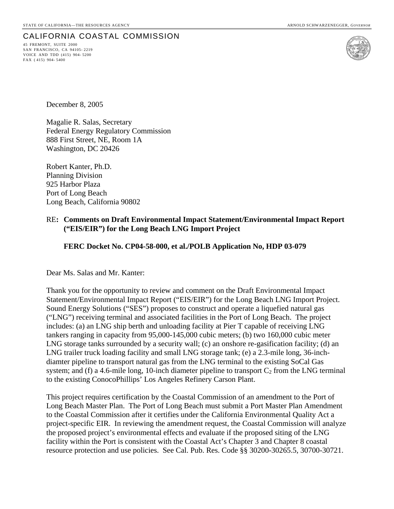### CALIFORNIA COASTAL COMMISSION

45 FREMONT, SUITE 2000 SAN FRANCISCO, CA 94105- 2219 VOICE AND TDD (415) 904- 5200 FAX ( 415) 904- 5400



December 8, 2005

Magalie R. Salas, Secretary Federal Energy Regulatory Commission 888 First Street, NE, Room 1A Washington, DC 20426

Robert Kanter, Ph.D. Planning Division 925 Harbor Plaza Port of Long Beach Long Beach, California 90802

### RE**: Comments on Draft Environmental Impact Statement/Environmental Impact Report ("EIS/EIR") for the Long Beach LNG Import Project**

### **FERC Docket No. CP04-58-000, et al./POLB Application No, HDP 03-079**

Dear Ms. Salas and Mr. Kanter:

Thank you for the opportunity to review and comment on the Draft Environmental Impact Statement/Environmental Impact Report ("EIS/EIR") for the Long Beach LNG Import Project. Sound Energy Solutions ("SES") proposes to construct and operate a liquefied natural gas ("LNG") receiving terminal and associated facilities in the Port of Long Beach. The project includes: (a) an LNG ship berth and unloading facility at Pier T capable of receiving LNG tankers ranging in capacity from 95,000-145,000 cubic meters; (b) two 160,000 cubic meter LNG storage tanks surrounded by a security wall; (c) an onshore re-gasification facility; (d) an LNG trailer truck loading facility and small LNG storage tank; (e) a 2.3-mile long, 36-inchdiamter pipeline to transport natural gas from the LNG terminal to the existing SoCal Gas system; and (f) a 4.6-mile long, 10-inch diameter pipeline to transport  $C_2$  from the LNG terminal to the existing ConocoPhillips' Los Angeles Refinery Carson Plant.

This project requires certification by the Coastal Commission of an amendment to the Port of Long Beach Master Plan. The Port of Long Beach must submit a Port Master Plan Amendment to the Coastal Commission after it certifies under the California Environmental Quality Act a project-specific EIR. In reviewing the amendment request, the Coastal Commission will analyze the proposed project's environmental effects and evaluate if the proposed siting of the LNG facility within the Port is consistent with the Coastal Act's Chapter 3 and Chapter 8 coastal resource protection and use policies. See Cal. Pub. Res. Code §§ 30200-30265.5, 30700-30721.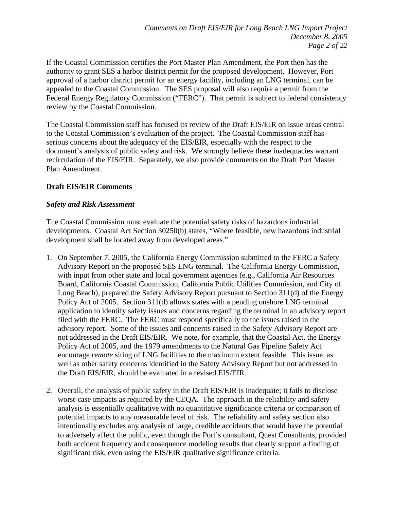If the Coastal Commission certifies the Port Master Plan Amendment, the Port then has the authority to grant SES a harbor district permit for the proposed development. However, Port approval of a harbor district permit for an energy facility, including an LNG terminal, can be appealed to the Coastal Commission. The SES proposal will also require a permit from the Federal Energy Regulatory Commission ("FERC"). That permit is subject to federal consistency review by the Coastal Commission.

The Coastal Commission staff has focused its review of the Draft EIS/EIR on issue areas central to the Coastal Commission's evaluation of the project. The Coastal Commission staff has serious concerns about the adequacy of the EIS/EIR, especially with the respect to the document's analysis of public safety and risk. We strongly believe these inadequacies warrant recirculation of the EIS/EIR. Separately, we also provide comments on the Draft Port Master Plan Amendment.

### **Draft EIS/EIR Comments**

### *Safety and Risk Assessment*

The Coastal Commission must evaluate the potential safety risks of hazardous industrial developments. Coastal Act Section 30250(b) states, "Where feasible, new hazardous industrial development shall be located away from developed areas."

- 1. On September 7, 2005, the California Energy Commission submitted to the FERC a Safety Advisory Report on the proposed SES LNG terminal. The California Energy Commission, with input from other state and local government agencies (e.g., California Air Resources Board, California Coastal Commission, California Public Utilities Commission, and City of Long Beach), prepared the Safety Advisory Report pursuant to Section 311(d) of the Energy Policy Act of 2005. Section 311(d) allows states with a pending onshore LNG terminal application to identify safety issues and concerns regarding the terminal in an advisory report filed with the FERC. The FERC must respond specifically to the issues raised in the advisory report. Some of the issues and concerns raised in the Safety Advisory Report are not addressed in the Draft EIS/EIR. We note, for example, that the Coastal Act, the Energy Policy Act of 2005, and the 1979 amendments to the Natural Gas Pipeline Safety Act encourage *remote* siting of LNG facilities to the maximum extent feasible. This issue, as well as other safety concerns identified in the Safety Advisory Report but not addressed in the Draft EIS/EIR, should be evaluated in a revised EIS/EIR.
- 2. Overall, the analysis of public safety in the Draft EIS/EIR is inadequate; it fails to disclose worst-case impacts as required by the CEQA. The approach in the reliability and safety analysis is essentially qualitative with no quantitative significance criteria or comparison of potential impacts to any measurable level of risk. The reliability and safety section also intentionally excludes any analysis of large, credible accidents that would have the potential to adversely affect the public, even though the Port's consultant, Quest Consultants, provided both accident frequency and consequence modeling results that clearly support a finding of significant risk, even using the EIS/EIR qualitative significance criteria.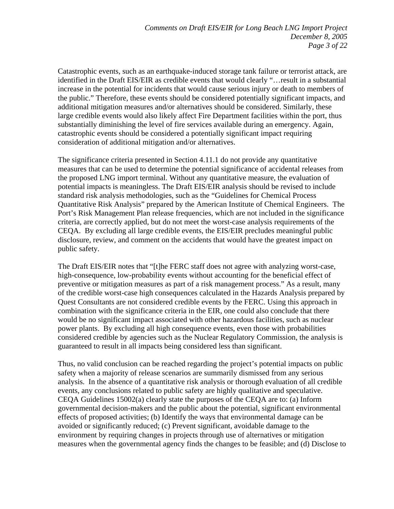Catastrophic events, such as an earthquake-induced storage tank failure or terrorist attack, are identified in the Draft EIS/EIR as credible events that would clearly "…result in a substantial increase in the potential for incidents that would cause serious injury or death to members of the public." Therefore, these events should be considered potentially significant impacts, and additional mitigation measures and/or alternatives should be considered. Similarly, these large credible events would also likely affect Fire Department facilities within the port, thus substantially diminishing the level of fire services available during an emergency. Again, catastrophic events should be considered a potentially significant impact requiring consideration of additional mitigation and/or alternatives.

The significance criteria presented in Section 4.11.1 do not provide any quantitative measures that can be used to determine the potential significance of accidental releases from the proposed LNG import terminal. Without any quantitative measure, the evaluation of potential impacts is meaningless. The Draft EIS/EIR analysis should be revised to include standard risk analysis methodologies, such as the "Guidelines for Chemical Process Quantitative Risk Analysis" prepared by the American Institute of Chemical Engineers. The Port's Risk Management Plan release frequencies, which are not included in the significance criteria, are correctly applied, but do not meet the worst-case analysis requirements of the CEQA. By excluding all large credible events, the EIS/EIR precludes meaningful public disclosure, review, and comment on the accidents that would have the greatest impact on public safety.

The Draft EIS/EIR notes that "[t]he FERC staff does not agree with analyzing worst-case, high-consequence, low-probability events without accounting for the beneficial effect of preventive or mitigation measures as part of a risk management process." As a result, many of the credible worst-case high consequences calculated in the Hazards Analysis prepared by Quest Consultants are not considered credible events by the FERC. Using this approach in combination with the significance criteria in the EIR, one could also conclude that there would be no significant impact associated with other hazardous facilities, such as nuclear power plants. By excluding all high consequence events, even those with probabilities considered credible by agencies such as the Nuclear Regulatory Commission, the analysis is guaranteed to result in all impacts being considered less than significant.

Thus, no valid conclusion can be reached regarding the project's potential impacts on public safety when a majority of release scenarios are summarily dismissed from any serious analysis. In the absence of a quantitative risk analysis or thorough evaluation of all credible events, any conclusions related to public safety are highly qualitative and speculative. CEQA Guidelines 15002(a) clearly state the purposes of the CEQA are to: (a) Inform governmental decision-makers and the public about the potential, significant environmental effects of proposed activities; (b) Identify the ways that environmental damage can be avoided or significantly reduced; (c) Prevent significant, avoidable damage to the environment by requiring changes in projects through use of alternatives or mitigation measures when the governmental agency finds the changes to be feasible; and (d) Disclose to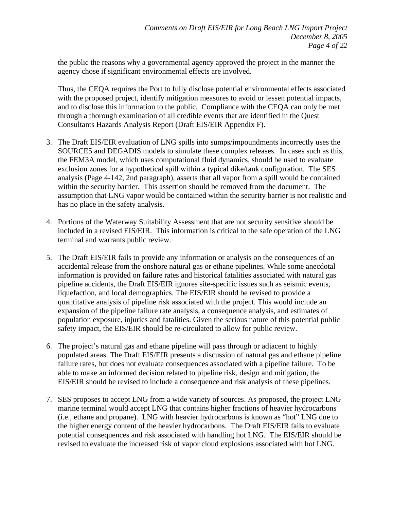the public the reasons why a governmental agency approved the project in the manner the agency chose if significant environmental effects are involved.

Thus, the CEQA requires the Port to fully disclose potential environmental effects associated with the proposed project, identify mitigation measures to avoid or lessen potential impacts, and to disclose this information to the public. Compliance with the CEQA can only be met through a thorough examination of all credible events that are identified in the Quest Consultants Hazards Analysis Report (Draft EIS/EIR Appendix F).

- 3. The Draft EIS/EIR evaluation of LNG spills into sumps/impoundments incorrectly uses the SOURCE5 and DEGADIS models to simulate these complex releases. In cases such as this, the FEM3A model, which uses computational fluid dynamics, should be used to evaluate exclusion zones for a hypothetical spill within a typical dike/tank configuration. The SES analysis (Page 4-142, 2nd paragraph), asserts that all vapor from a spill would be contained within the security barrier. This assertion should be removed from the document. The assumption that LNG vapor would be contained within the security barrier is not realistic and has no place in the safety analysis.
- 4. Portions of the Waterway Suitability Assessment that are not security sensitive should be included in a revised EIS/EIR. This information is critical to the safe operation of the LNG terminal and warrants public review.
- 5. The Draft EIS/EIR fails to provide any information or analysis on the consequences of an accidental release from the onshore natural gas or ethane pipelines. While some anecdotal information is provided on failure rates and historical fatalities associated with natural gas pipeline accidents, the Draft EIS/EIR ignores site-specific issues such as seismic events, liquefaction, and local demographics. The EIS/EIR should be revised to provide a quantitative analysis of pipeline risk associated with the project. This would include an expansion of the pipeline failure rate analysis, a consequence analysis, and estimates of population exposure, injuries and fatalities. Given the serious nature of this potential public safety impact, the EIS/EIR should be re-circulated to allow for public review.
- 6. The project's natural gas and ethane pipeline will pass through or adjacent to highly populated areas. The Draft EIS/EIR presents a discussion of natural gas and ethane pipeline failure rates, but does not evaluate consequences associated with a pipeline failure. To be able to make an informed decision related to pipeline risk, design and mitigation, the EIS/EIR should be revised to include a consequence and risk analysis of these pipelines.
- 7. SES proposes to accept LNG from a wide variety of sources. As proposed, the project LNG marine terminal would accept LNG that contains higher fractions of heavier hydrocarbons (i.e., ethane and propane). LNG with heavier hydrocarbons is known as "hot" LNG due to the higher energy content of the heavier hydrocarbons. The Draft EIS/EIR fails to evaluate potential consequences and risk associated with handling hot LNG. The EIS/EIR should be revised to evaluate the increased risk of vapor cloud explosions associated with hot LNG.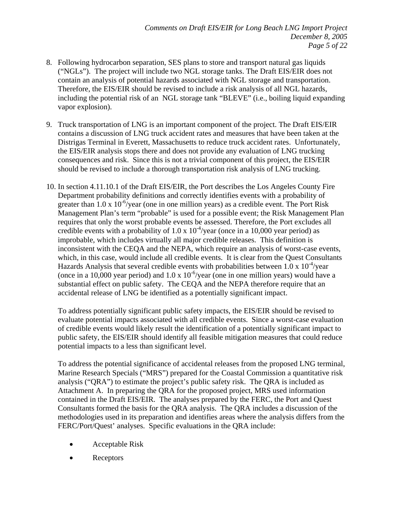- 8. Following hydrocarbon separation, SES plans to store and transport natural gas liquids ("NGLs"). The project will include two NGL storage tanks. The Draft EIS/EIR does not contain an analysis of potential hazards associated with NGL storage and transportation. Therefore, the EIS/EIR should be revised to include a risk analysis of all NGL hazards, including the potential risk of an NGL storage tank "BLEVE" (i.e., boiling liquid expanding vapor explosion).
- 9. Truck transportation of LNG is an important component of the project. The Draft EIS/EIR contains a discussion of LNG truck accident rates and measures that have been taken at the Distrigas Terminal in Everett, Massachusetts to reduce truck accident rates. Unfortunately, the EIS/EIR analysis stops there and does not provide any evaluation of LNG trucking consequences and risk. Since this is not a trivial component of this project, the EIS/EIR should be revised to include a thorough transportation risk analysis of LNG trucking.
- 10. In section 4.11.10.1 of the Draft EIS/EIR, the Port describes the Los Angeles County Fire Department probability definitions and correctly identifies events with a probability of greater than 1.0 x  $10^{-6}$ /year (one in one million years) as a credible event. The Port Risk Management Plan's term "probable" is used for a possible event; the Risk Management Plan requires that only the worst probable events be assessed. Therefore, the Port excludes all credible events with a probability of  $1.0 \times 10^{-4}$ /year (once in a 10,000 year period) as improbable, which includes virtually all major credible releases. This definition is inconsistent with the CEQA and the NEPA, which require an analysis of worst-case events, which, in this case, would include all credible events. It is clear from the Quest Consultants Hazards Analysis that several credible events with probabilities between  $1.0 \times 10^{-4}$ /year (once in a 10,000 year period) and  $1.0 \times 10^{-6}$ /year (one in one million years) would have a substantial effect on public safety. The CEQA and the NEPA therefore require that an accidental release of LNG be identified as a potentially significant impact.

To address potentially significant public safety impacts, the EIS/EIR should be revised to evaluate potential impacts associated with all credible events. Since a worst-case evaluation of credible events would likely result the identification of a potentially significant impact to public safety, the EIS/EIR should identify all feasible mitigation measures that could reduce potential impacts to a less than significant level.

To address the potential significance of accidental releases from the proposed LNG terminal, Marine Research Specials ("MRS") prepared for the Coastal Commission a quantitative risk analysis ("QRA") to estimate the project's public safety risk. The QRA is included as Attachment A. In preparing the QRA for the proposed project, MRS used information contained in the Draft EIS/EIR. The analyses prepared by the FERC, the Port and Quest Consultants formed the basis for the QRA analysis. The QRA includes a discussion of the methodologies used in its preparation and identifies areas where the analysis differs from the FERC/Port/Quest' analyses. Specific evaluations in the QRA include:

- Acceptable Risk
- Receptors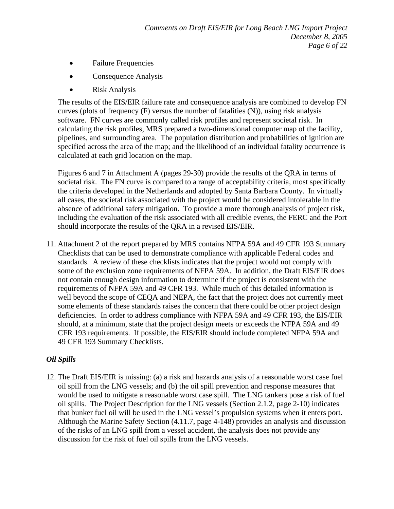- Failure Frequencies
- Consequence Analysis
- Risk Analysis

The results of the EIS/EIR failure rate and consequence analysis are combined to develop FN curves (plots of frequency (F) versus the number of fatalities (N)), using risk analysis software. FN curves are commonly called risk profiles and represent societal risk. In calculating the risk profiles, MRS prepared a two-dimensional computer map of the facility, pipelines, and surrounding area. The population distribution and probabilities of ignition are specified across the area of the map; and the likelihood of an individual fatality occurrence is calculated at each grid location on the map.

Figures 6 and 7 in Attachment A (pages 29-30) provide the results of the QRA in terms of societal risk. The FN curve is compared to a range of acceptability criteria, most specifically the criteria developed in the Netherlands and adopted by Santa Barbara County. In virtually all cases, the societal risk associated with the project would be considered intolerable in the absence of additional safety mitigation. To provide a more thorough analysis of project risk, including the evaluation of the risk associated with all credible events, the FERC and the Port should incorporate the results of the QRA in a revised EIS/EIR.

11. Attachment 2 of the report prepared by MRS contains NFPA 59A and 49 CFR 193 Summary Checklists that can be used to demonstrate compliance with applicable Federal codes and standards. A review of these checklists indicates that the project would not comply with some of the exclusion zone requirements of NFPA 59A. In addition, the Draft EIS/EIR does not contain enough design information to determine if the project is consistent with the requirements of NFPA 59A and 49 CFR 193. While much of this detailed information is well beyond the scope of CEQA and NEPA, the fact that the project does not currently meet some elements of these standards raises the concern that there could be other project design deficiencies. In order to address compliance with NFPA 59A and 49 CFR 193, the EIS/EIR should, at a minimum, state that the project design meets or exceeds the NFPA 59A and 49 CFR 193 requirements. If possible, the EIS/EIR should include completed NFPA 59A and 49 CFR 193 Summary Checklists.

### *Oil Spills*

12. The Draft EIS/EIR is missing: (a) a risk and hazards analysis of a reasonable worst case fuel oil spill from the LNG vessels; and (b) the oil spill prevention and response measures that would be used to mitigate a reasonable worst case spill. The LNG tankers pose a risk of fuel oil spills. The Project Description for the LNG vessels (Section 2.1.2, page 2-10) indicates that bunker fuel oil will be used in the LNG vessel's propulsion systems when it enters port. Although the Marine Safety Section (4.11.7, page 4-148) provides an analysis and discussion of the risks of an LNG spill from a vessel accident, the analysis does not provide any discussion for the risk of fuel oil spills from the LNG vessels.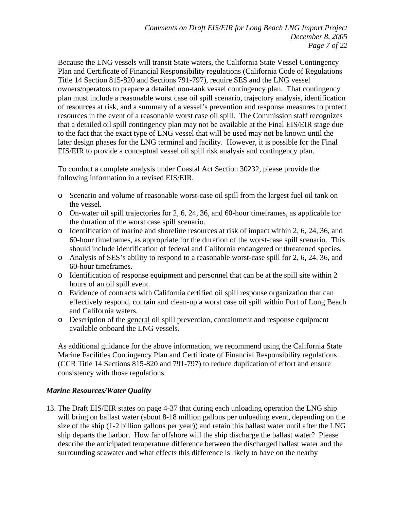Because the LNG vessels will transit State waters, the California State Vessel Contingency Plan and Certificate of Financial Responsibility regulations (California Code of Regulations Title 14 Section 815-820 and Sections 791-797), require SES and the LNG vessel owners/operators to prepare a detailed non-tank vessel contingency plan. That contingency plan must include a reasonable worst case oil spill scenario, trajectory analysis, identification of resources at risk, and a summary of a vessel's prevention and response measures to protect resources in the event of a reasonable worst case oil spill. The Commission staff recognizes that a detailed oil spill contingency plan may not be available at the Final EIS/EIR stage due to the fact that the exact type of LNG vessel that will be used may not be known until the later design phases for the LNG terminal and facility. However, it is possible for the Final EIS/EIR to provide a conceptual vessel oil spill risk analysis and contingency plan.

To conduct a complete analysis under Coastal Act Section 30232, please provide the following information in a revised EIS/EIR.

- o Scenario and volume of reasonable worst-case oil spill from the largest fuel oil tank on the vessel.
- o On-water oil spill trajectories for 2, 6, 24, 36, and 60-hour timeframes, as applicable for the duration of the worst case spill scenario.
- o Identification of marine and shoreline resources at risk of impact within 2, 6, 24, 36, and 60-hour timeframes, as appropriate for the duration of the worst-case spill scenario. This should include identification of federal and California endangered or threatened species.
- o Analysis of SES's ability to respond to a reasonable worst-case spill for 2, 6, 24, 36, and 60-hour timeframes.
- o Identification of response equipment and personnel that can be at the spill site within 2 hours of an oil spill event.
- o Evidence of contracts with California certified oil spill response organization that can effectively respond, contain and clean-up a worst case oil spill within Port of Long Beach and California waters.
- o Description of the general oil spill prevention, containment and response equipment available onboard the LNG vessels.

As additional guidance for the above information, we recommend using the California State Marine Facilities Contingency Plan and Certificate of Financial Responsibility regulations (CCR Title 14 Sections 815-820 and 791-797) to reduce duplication of effort and ensure consistency with those regulations.

### *Marine Resources/Water Quality*

13. The Draft EIS/EIR states on page 4-37 that during each unloading operation the LNG ship will bring on ballast water (about 8-18 million gallons per unloading event, depending on the size of the ship (1-2 billion gallons per year)) and retain this ballast water until after the LNG ship departs the harbor. How far offshore will the ship discharge the ballast water? Please describe the anticipated temperature difference between the discharged ballast water and the surrounding seawater and what effects this difference is likely to have on the nearby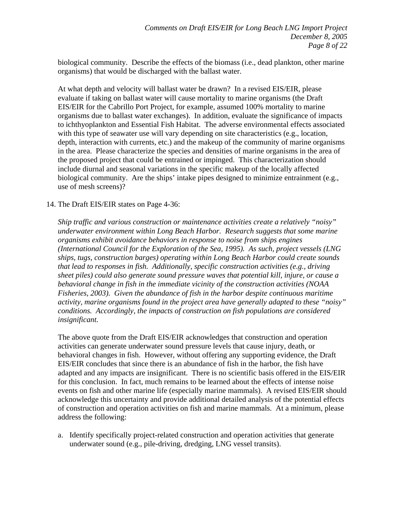biological community. Describe the effects of the biomass (i.e., dead plankton, other marine organisms) that would be discharged with the ballast water.

At what depth and velocity will ballast water be drawn? In a revised EIS/EIR, please evaluate if taking on ballast water will cause mortality to marine organisms (the Draft EIS/EIR for the Cabrillo Port Project, for example, assumed 100% mortality to marine organisms due to ballast water exchanges). In addition, evaluate the significance of impacts to ichthyoplankton and Essential Fish Habitat. The adverse environmental effects associated with this type of seawater use will vary depending on site characteristics (e.g., location, depth, interaction with currents, etc.) and the makeup of the community of marine organisms in the area. Please characterize the species and densities of marine organisms in the area of the proposed project that could be entrained or impinged. This characterization should include diurnal and seasonal variations in the specific makeup of the locally affected biological community. Are the ships' intake pipes designed to minimize entrainment (e.g., use of mesh screens)?

### 14. The Draft EIS/EIR states on Page 4-36:

*Ship traffic and various construction or maintenance activities create a relatively "noisy" underwater environment within Long Beach Harbor. Research suggests that some marine organisms exhibit avoidance behaviors in response to noise from ships engines (International Council for the Exploration of the Sea, 1995). As such, project vessels (LNG ships, tugs, construction barges) operating within Long Beach Harbor could create sounds that lead to responses in fish. Additionally, specific construction activities (e.g., driving sheet piles) could also generate sound pressure waves that potential kill, injure, or cause a behavioral change in fish in the immediate vicinity of the construction activities (NOAA Fisheries, 2003). Given the abundance of fish in the harbor despite continuous maritime activity, marine organisms found in the project area have generally adapted to these "noisy" conditions. Accordingly, the impacts of construction on fish populations are considered insignificant.* 

The above quote from the Draft EIS/EIR acknowledges that construction and operation activities can generate underwater sound pressure levels that cause injury, death, or behavioral changes in fish. However, without offering any supporting evidence, the Draft EIS/EIR concludes that since there is an abundance of fish in the harbor, the fish have adapted and any impacts are insignificant. There is no scientific basis offered in the EIS/EIR for this conclusion. In fact, much remains to be learned about the effects of intense noise events on fish and other marine life (especially marine mammals). A revised EIS/EIR should acknowledge this uncertainty and provide additional detailed analysis of the potential effects of construction and operation activities on fish and marine mammals. At a minimum, please address the following:

a. Identify specifically project-related construction and operation activities that generate underwater sound (e.g., pile-driving, dredging, LNG vessel transits).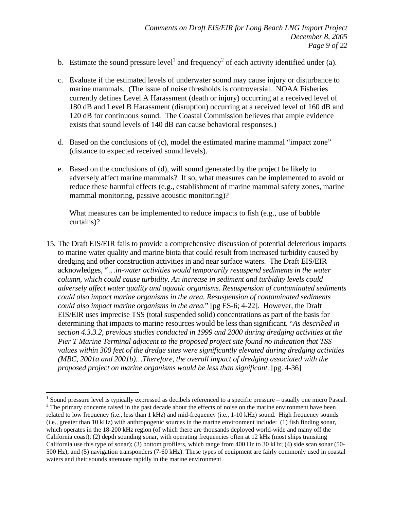- b. Estimate the sound pressure level<sup>1</sup> and frequency<sup>2</sup> of each activity identified under (a).
- c. Evaluate if the estimated levels of underwater sound may cause injury or disturbance to marine mammals. (The issue of noise thresholds is controversial. NOAA Fisheries currently defines Level A Harassment (death or injury) occurring at a received level of 180 dB and Level B Harassment (disruption) occurring at a received level of 160 dB and 120 dB for continuous sound. The Coastal Commission believes that ample evidence exists that sound levels of 140 dB can cause behavioral responses.)
- d. Based on the conclusions of (c), model the estimated marine mammal "impact zone" (distance to expected received sound levels).
- e. Based on the conclusions of (d), will sound generated by the project be likely to adversely affect marine mammals? If so, what measures can be implemented to avoid or reduce these harmful effects (e.g., establishment of marine mammal safety zones, marine mammal monitoring, passive acoustic monitoring)?

What measures can be implemented to reduce impacts to fish (e.g., use of bubble curtains)?

15. The Draft EIS/EIR fails to provide a comprehensive discussion of potential deleterious impacts to marine water quality and marine biota that could result from increased turbidity caused by dredging and other construction activities in and near surface waters. The Draft EIS/EIR acknowledges, "…*in-water activities would temporarily resuspend sediments in the water column, which could cause turbidity. An increase in sediment and turbidity levels could adversely affect water quality and aquatic organisms. Resuspension of contaminated sediments could also impact marine organisms in the area. Resuspension of contaminated sediments could also impact marine organisms in the area.*" [pg ES-6; 4-22]. However, the Draft EIS/EIR uses imprecise TSS (total suspended solid) concentrations as part of the basis for determining that impacts to marine resources would be less than significant. "*As described in section 4.3.3.2, previous studies conducted in 1999 and 2000 during dredging activities at the Pier T Marine Terminal adjacent to the proposed project site found no indication that TSS values within 300 feet of the dredge sites were significantly elevated during dredging activities (MBC, 2001a and 2001b)…Therefore, the overall impact of dredging associated with the proposed project on marine organisms would be less than significant.* [pg. 4-36]

1

<sup>&</sup>lt;sup>1</sup> Sound pressure level is typically expressed as decibels referenced to a specific pressure – usually one micro Pascal.  $2^2$  The primary concerns raised in the past decade about the effects of noise on the marine environment have been related to low frequency (i.e., less than 1 kHz) and mid-frequency (i.e., 1-10 kHz) sound. High frequency sounds (i.e., greater than 10 kHz) with anthropogenic sources in the marine environment include: (1) fish finding sonar, which operates in the 18-200 kHz region (of which there are thousands deployed world-wide and many off the California coast); (2) depth sounding sonar, with operating frequencies often at 12 kHz (most ships transiting California use this type of sonar); (3) bottom profilers, which range from 400 Hz to 30 kHz; (4) side scan sonar (50- 500 Hz); and (5) navigation transponders (7-60 kHz). These types of equipment are fairly commonly used in coastal waters and their sounds attenuate rapidly in the marine environment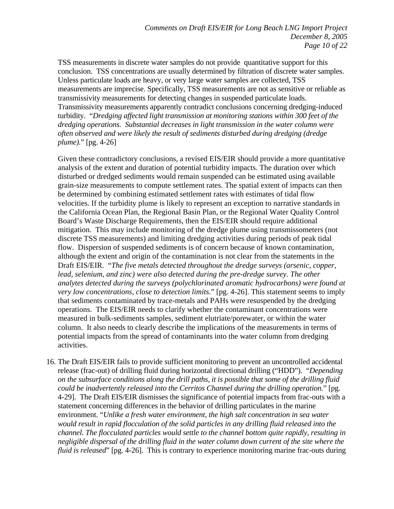TSS measurements in discrete water samples do not provide quantitative support for this conclusion. TSS concentrations are usually determined by filtration of discrete water samples. Unless particulate loads are heavy, or very large water samples are collected, TSS measurements are imprecise. Specifically, TSS measurements are not as sensitive or reliable as transmissivity measurements for detecting changes in suspended particulate loads. Transmissivity measurements apparently contradict conclusions concerning dredging-induced turbidity. "*Dredging affected light transmission at monitoring stations within 300 feet of the dredging operations. Substantial decreases in light transmission in the water column were often observed and were likely the result of sediments disturbed during dredging (dredge plume).*" [pg. 4-26]

Given these contradictory conclusions, a revised EIS/EIR should provide a more quantitative analysis of the extent and duration of potential turbidity impacts. The duration over which disturbed or dredged sediments would remain suspended can be estimated using available grain-size measurements to compute settlement rates. The spatial extent of impacts can then be determined by combining estimated settlement rates with estimates of tidal flow velocities. If the turbidity plume is likely to represent an exception to narrative standards in the California Ocean Plan, the Regional Basin Plan, or the Regional Water Quality Control Board's Waste Discharge Requirements, then the EIS/EIR should require additional mitigation. This may include monitoring of the dredge plume using transmissometers (not discrete TSS measurements) and limiting dredging activities during periods of peak tidal flow. Dispersion of suspended sediments is of concern because of known contamination, although the extent and origin of the contamination is not clear from the statements in the Draft EIS/EIR. "*The five metals detected throughout the dredge surveys (arsenic, copper, lead, selenium, and zinc) were also detected during the pre-dredge survey. The other analytes detected during the surveys (polychlorinated aromatic hydrocarbons) were found at very low concentrations, close to detection limits.*" [pg. 4-26]. This statement seems to imply that sediments contaminated by trace-metals and PAHs were resuspended by the dredging operations. The EIS/EIR needs to clarify whether the contaminant concentrations were measured in bulk-sediments samples, sediment elutriate/porewater, or within the water column. It also needs to clearly describe the implications of the measurements in terms of potential impacts from the spread of contaminants into the water column from dredging activities.

16. The Draft EIS/EIR fails to provide sufficient monitoring to prevent an uncontrolled accidental release (frac-out) of drilling fluid during horizontal directional drilling ("HDD"). "*Depending on the subsurface conditions along the drill paths, it is possible that some of the drilling fluid could be inadvertently released into the Cerritos Channel during the drilling operation.*" [pg. 4-29]. The Draft EIS/EIR dismisses the significance of potential impacts from frac-outs with a statement concerning differences in the behavior of drilling particulates in the marine environment. "*Unlike a fresh water environment, the high salt concentration in sea water would result in rapid flocculation of the solid particles in any drilling fluid released into the channel. The flocculated particles would settle to the channel bottom quite rapidly, resulting in*  negligible dispersal of the drilling fluid in the water column down current of the site where the *fluid is released*" [pg. 4-26]. This is contrary to experience monitoring marine frac-outs during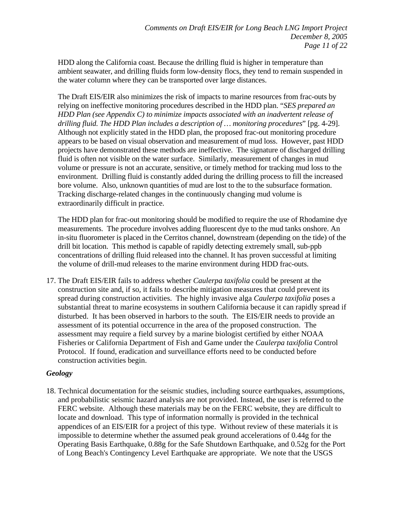HDD along the California coast. Because the drilling fluid is higher in temperature than ambient seawater, and drilling fluids form low-density flocs, they tend to remain suspended in the water column where they can be transported over large distances.

The Draft EIS/EIR also minimizes the risk of impacts to marine resources from frac-outs by relying on ineffective monitoring procedures described in the HDD plan. "*SES prepared an HDD Plan (see Appendix C) to minimize impacts associated with an inadvertent release of drilling fluid. The HDD Plan includes a description of … monitoring procedures*" [pg. 4-29]. Although not explicitly stated in the HDD plan, the proposed frac-out monitoring procedure appears to be based on visual observation and measurement of mud loss. However, past HDD projects have demonstrated these methods are ineffective. The signature of discharged drilling fluid is often not visible on the water surface. Similarly, measurement of changes in mud volume or pressure is not an accurate, sensitive, or timely method for tracking mud loss to the environment. Drilling fluid is constantly added during the drilling process to fill the increased bore volume. Also, unknown quantities of mud are lost to the to the subsurface formation. Tracking discharge-related changes in the continuously changing mud volume is extraordinarily difficult in practice.

The HDD plan for frac-out monitoring should be modified to require the use of Rhodamine dye measurements. The procedure involves adding fluorescent dye to the mud tanks onshore. An in-situ fluorometer is placed in the Cerritos channel, downstream (depending on the tide) of the drill bit location. This method is capable of rapidly detecting extremely small, sub-ppb concentrations of drilling fluid released into the channel. It has proven successful at limiting the volume of drill-mud releases to the marine environment during HDD frac-outs.

17. The Draft EIS/EIR fails to address whether *Caulerpa taxifolia* could be present at the construction site and, if so, it fails to describe mitigation measures that could prevent its spread during construction activities. The highly invasive alga *Caulerpa taxifolia* poses a substantial threat to marine ecosystems in southern California because it can rapidly spread if disturbed. It has been observed in harbors to the south. The EIS/EIR needs to provide an assessment of its potential occurrence in the area of the proposed construction. The assessment may require a field survey by a marine biologist certified by either NOAA Fisheries or California Department of Fish and Game under the *Caulerpa taxifolia* Control Protocol. If found, eradication and surveillance efforts need to be conducted before construction activities begin.

### *Geology*

18. Technical documentation for the seismic studies, including source earthquakes, assumptions, and probabilistic seismic hazard analysis are not provided. Instead, the user is referred to the FERC website. Although these materials may be on the FERC website, they are difficult to locate and download. This type of information normally is provided in the technical appendices of an EIS/EIR for a project of this type. Without review of these materials it is impossible to determine whether the assumed peak ground accelerations of 0.44g for the Operating Basis Earthquake, 0.88g for the Safe Shutdown Earthquake, and 0.52g for the Port of Long Beach's Contingency Level Earthquake are appropriate. We note that the USGS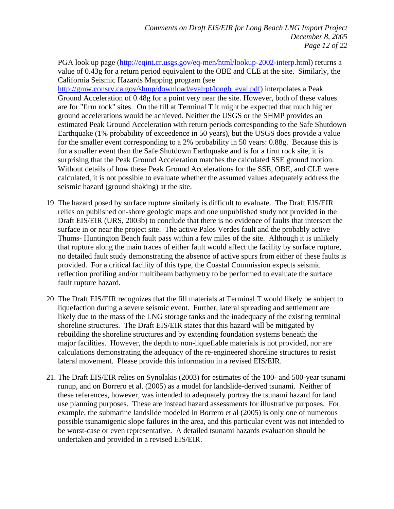PGA look up page (http://eqint.cr.usgs.gov/eq-men/html/lookup-2002-interp.html) returns a value of 0.43g for a return period equivalent to the OBE and CLE at the site. Similarly, the California Seismic Hazards Mapping program (see

http://gmw.consrv.ca.gov/shmp/download/evalrpt/longb\_eval.pdf) interpolates a Peak Ground Acceleration of 0.48g for a point very near the site. However, both of these values are for "firm rock" sites. On the fill at Terminal T it might be expected that much higher ground accelerations would be achieved. Neither the USGS or the SHMP provides an estimated Peak Ground Acceleration with return periods corresponding to the Safe Shutdown Earthquake (1% probability of exceedence in 50 years), but the USGS does provide a value for the smaller event corresponding to a 2% probability in 50 years: 0.88g. Because this is for a smaller event than the Safe Shutdown Earthquake and is for a firm rock site, it is surprising that the Peak Ground Acceleration matches the calculated SSE ground motion. Without details of how these Peak Ground Accelerations for the SSE, OBE, and CLE were calculated, it is not possible to evaluate whether the assumed values adequately address the seismic hazard (ground shaking) at the site.

- 19. The hazard posed by surface rupture similarly is difficult to evaluate. The Draft EIS/EIR relies on published on-shore geologic maps and one unpublished study not provided in the Draft EIS/EIR (URS, 2003b) to conclude that there is no evidence of faults that intersect the surface in or near the project site. The active Palos Verdes fault and the probably active Thums- Huntington Beach fault pass within a few miles of the site. Although it is unlikely that rupture along the main traces of either fault would affect the facility by surface rupture, no detailed fault study demonstrating the absence of active spurs from either of these faults is provided. For a critical facility of this type, the Coastal Commission expects seismic reflection profiling and/or multibeam bathymetry to be performed to evaluate the surface fault rupture hazard.
- 20. The Draft EIS/EIR recognizes that the fill materials at Terminal T would likely be subject to liquefaction during a severe seismic event. Further, lateral spreading and settlement are likely due to the mass of the LNG storage tanks and the inadequacy of the existing terminal shoreline structures. The Draft EIS/EIR states that this hazard will be mitigated by rebuilding the shoreline structures and by extending foundation systems beneath the major facilities. However, the depth to non-liquefiable materials is not provided, nor are calculations demonstrating the adequacy of the re-engineered shoreline structures to resist lateral movement. Please provide this information in a revised EIS/EIR.
- 21. The Draft EIS/EIR relies on Synolakis (2003) for estimates of the 100- and 500-year tsunami runup, and on Borrero et al. (2005) as a model for landslide-derived tsunami. Neither of these references, however, was intended to adequately portray the tsunami hazard for land use planning purposes. These are instead hazard assessments for illustrative purposes. For example, the submarine landslide modeled in Borrero et al (2005) is only one of numerous possible tsunamigenic slope failures in the area, and this particular event was not intended to be worst-case or even representative. A detailed tsunami hazards evaluation should be undertaken and provided in a revised EIS/EIR.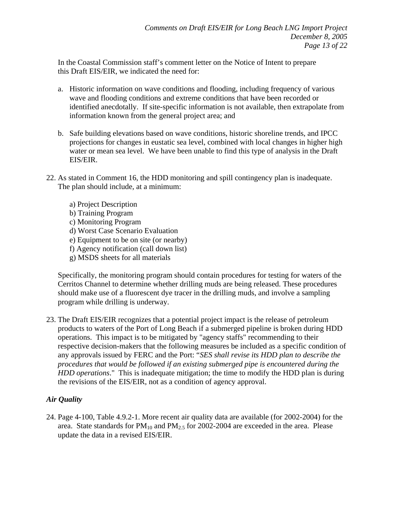In the Coastal Commission staff's comment letter on the Notice of Intent to prepare this Draft EIS/EIR, we indicated the need for:

- a. Historic information on wave conditions and flooding, including frequency of various wave and flooding conditions and extreme conditions that have been recorded or identified anecdotally. If site-specific information is not available, then extrapolate from information known from the general project area; and
- b. Safe building elevations based on wave conditions, historic shoreline trends, and IPCC projections for changes in eustatic sea level, combined with local changes in higher high water or mean sea level. We have been unable to find this type of analysis in the Draft EIS/EIR.
- 22. As stated in Comment 16, the HDD monitoring and spill contingency plan is inadequate. The plan should include, at a minimum:
	- a) Project Description b) Training Program
	- c) Monitoring Program
	- d) Worst Case Scenario Evaluation
	- e) Equipment to be on site (or nearby)
	- f) Agency notification (call down list)
	- g) MSDS sheets for all materials

Specifically, the monitoring program should contain procedures for testing for waters of the Cerritos Channel to determine whether drilling muds are being released. These procedures should make use of a fluorescent dye tracer in the drilling muds, and involve a sampling program while drilling is underway.

23. The Draft EIS/EIR recognizes that a potential project impact is the release of petroleum products to waters of the Port of Long Beach if a submerged pipeline is broken during HDD operations. This impact is to be mitigated by "agency staffs" recommending to their respective decision-makers that the following measures be included as a specific condition of any approvals issued by FERC and the Port: "*SES shall revise its HDD plan to describe the procedures that would be followed if an existing submerged pipe is encountered during the HDD operations*." This is inadequate mitigation; the time to modify the HDD plan is during the revisions of the EIS/EIR, not as a condition of agency approval.

### *Air Quality*

24. Page 4-100, Table 4.9.2-1. More recent air quality data are available (for 2002-2004) for the area. State standards for  $PM_{10}$  and  $PM_{2.5}$  for 2002-2004 are exceeded in the area. Please update the data in a revised EIS/EIR.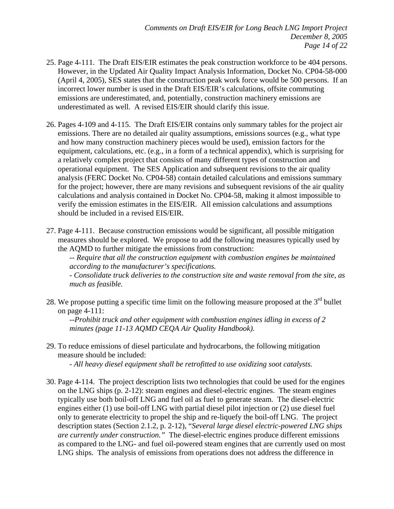- 25. Page 4-111. The Draft EIS/EIR estimates the peak construction workforce to be 404 persons. However, in the Updated Air Quality Impact Analysis Information, Docket No. CP04-58-000 (April 4, 2005), SES states that the construction peak work force would be 500 persons. If an incorrect lower number is used in the Draft EIS/EIR's calculations, offsite commuting emissions are underestimated, and, potentially, construction machinery emissions are underestimated as well. A revised EIS/EIR should clarify this issue.
- 26. Pages 4-109 and 4-115. The Draft EIS/EIR contains only summary tables for the project air emissions. There are no detailed air quality assumptions, emissions sources (e.g., what type and how many construction machinery pieces would be used), emission factors for the equipment, calculations, etc. (e.g., in a form of a technical appendix), which is surprising for a relatively complex project that consists of many different types of construction and operational equipment. The SES Application and subsequent revisions to the air quality analysis (FERC Docket No. CP04-58) contain detailed calculations and emissions summary for the project; however, there are many revisions and subsequent revisions of the air quality calculations and analysis contained in Docket No. CP04-58, making it almost impossible to verify the emission estimates in the EIS/EIR. All emission calculations and assumptions should be included in a revised EIS/EIR.
- 27. Page 4-111. Because construction emissions would be significant, all possible mitigation measures should be explored. We propose to add the following measures typically used by the AQMD to further mitigate the emissions from construction:

*-- Require that all the construction equipment with combustion engines be maintained according to the manufacturer's specifications.* 

*- Consolidate truck deliveries to the construction site and waste removal from the site, as much as feasible.* 

28. We propose putting a specific time limit on the following measure proposed at the  $3<sup>rd</sup>$  bullet on page 4-111:

*--Prohibit truck and other equipment with combustion engines idling in excess of 2 minutes (page 11-13 AQMD CEQA Air Quality Handbook).* 

29. To reduce emissions of diesel particulate and hydrocarbons, the following mitigation measure should be included:

*- All heavy diesel equipment shall be retrofitted to use oxidizing soot catalysts.* 

30. Page 4-114. The project description lists two technologies that could be used for the engines on the LNG ships (p. 2-12): steam engines and diesel-electric engines. The steam engines typically use both boil-off LNG and fuel oil as fuel to generate steam. The diesel-electric engines either (1) use boil-off LNG with partial diesel pilot injection or (2) use diesel fuel only to generate electricity to propel the ship and re-liquefy the boil-off LNG. The project description states (Section 2.1.2, p. 2-12), "*Several large diesel electric-powered LNG ships are currently under construction."* The diesel-electric engines produce different emissions as compared to the LNG- and fuel oil-powered steam engines that are currently used on most LNG ships. The analysis of emissions from operations does not address the difference in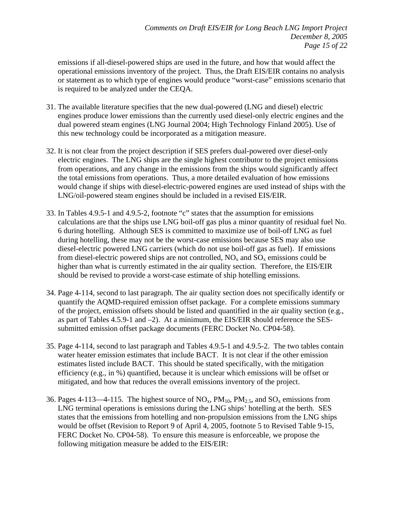emissions if all-diesel-powered ships are used in the future, and how that would affect the operational emissions inventory of the project. Thus, the Draft EIS/EIR contains no analysis or statement as to which type of engines would produce "worst-case" emissions scenario that is required to be analyzed under the CEQA.

- 31. The available literature specifies that the new dual-powered (LNG and diesel) electric engines produce lower emissions than the currently used diesel-only electric engines and the dual powered steam engines (LNG Journal 2004; High Technology Finland 2005). Use of this new technology could be incorporated as a mitigation measure.
- 32. It is not clear from the project description if SES prefers dual-powered over diesel-only electric engines. The LNG ships are the single highest contributor to the project emissions from operations, and any change in the emissions from the ships would significantly affect the total emissions from operations. Thus, a more detailed evaluation of how emissions would change if ships with diesel-electric-powered engines are used instead of ships with the LNG/oil-powered steam engines should be included in a revised EIS/EIR.
- 33. In Tables 4.9.5-1 and 4.9.5-2, footnote "c" states that the assumption for emissions calculations are that the ships use LNG boil-off gas plus a minor quantity of residual fuel No. 6 during hotelling. Although SES is committed to maximize use of boil-off LNG as fuel during hotelling, these may not be the worst-case emissions because SES may also use diesel-electric powered LNG carriers (which do not use boil-off gas as fuel). If emissions from diesel-electric powered ships are not controlled,  $NO<sub>x</sub>$  and  $SO<sub>x</sub>$  emissions could be higher than what is currently estimated in the air quality section. Therefore, the EIS/EIR should be revised to provide a worst-case estimate of ship hotelling emissions.
- 34. Page 4-114, second to last paragraph. The air quality section does not specifically identify or quantify the AQMD-required emission offset package. For a complete emissions summary of the project, emission offsets should be listed and quantified in the air quality section (e.g., as part of Tables 4.5.9-1 and –2). At a minimum, the EIS/EIR should reference the SESsubmitted emission offset package documents (FERC Docket No. CP04-58).
- 35. Page 4-114, second to last paragraph and Tables 4.9.5-1 and 4.9.5-2. The two tables contain water heater emission estimates that include BACT. It is not clear if the other emission estimates listed include BACT. This should be stated specifically, with the mitigation efficiency (e.g., in %) quantified, because it is unclear which emissions will be offset or mitigated, and how that reduces the overall emissions inventory of the project.
- 36. Pages 4-113—4-115. The highest source of  $NO_x$ ,  $PM_{10}$ ,  $PM_{2.5}$ , and  $SO_x$  emissions from LNG terminal operations is emissions during the LNG ships' hotelling at the berth. SES states that the emissions from hotelling and non-propulsion emissions from the LNG ships would be offset (Revision to Report 9 of April 4, 2005, footnote 5 to Revised Table 9-15, FERC Docket No. CP04-58). To ensure this measure is enforceable, we propose the following mitigation measure be added to the EIS/EIR: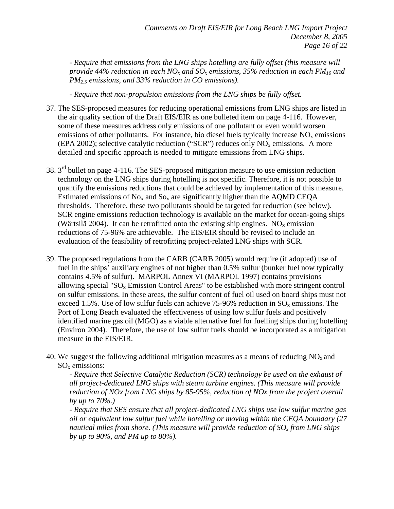*- Require that emissions from the LNG ships hotelling are fully offset (this measure will provide 44% reduction in each NO<sub>x</sub> and SO<sub>x</sub> emissions, 35% reduction in each PM<sub>10</sub> and PM2.5 emissions, and 33% reduction in CO emissions).* 

*- Require that non-propulsion emissions from the LNG ships be fully offset.* 

- 37. The SES-proposed measures for reducing operational emissions from LNG ships are listed in the air quality section of the Draft EIS/EIR as one bulleted item on page 4-116. However, some of these measures address only emissions of one pollutant or even would worsen emissions of other pollutants. For instance, bio diesel fuels typically increase  $NO<sub>x</sub>$  emissions (EPA 2002); selective catalytic reduction ("SCR") reduces only  $NO<sub>x</sub>$  emissions. A more detailed and specific approach is needed to mitigate emissions from LNG ships.
- $38.3<sup>rd</sup>$  bullet on page 4-116. The SES-proposed mitigation measure to use emission reduction technology on the LNG ships during hotelling is not specific. Therefore, it is not possible to quantify the emissions reductions that could be achieved by implementation of this measure. Estimated emissions of  $No<sub>x</sub>$  and  $So<sub>x</sub>$  are significantly higher than the AQMD CEQA thresholds. Therefore, these two pollutants should be targeted for reduction (see below). SCR engine emissions reduction technology is available on the market for ocean-going ships (Wärtsilä 2004). It can be retrofitted onto the existing ship engines.  $NO<sub>x</sub>$  emission reductions of 75-96% are achievable. The EIS/EIR should be revised to include an evaluation of the feasibility of retrofitting project-related LNG ships with SCR.
- 39. The proposed regulations from the CARB (CARB 2005) would require (if adopted) use of fuel in the ships' auxiliary engines of not higher than 0.5% sulfur (bunker fuel now typically contains 4.5% of sulfur). MARPOL Annex VI (MARPOL 1997) contains provisions allowing special " $SO<sub>x</sub>$  Emission Control Areas" to be established with more stringent control on sulfur emissions. In these areas, the sulfur content of fuel oil used on board ships must not exceed 1.5%. Use of low sulfur fuels can achieve 75-96% reduction in  $SO_x$  emissions. The Port of Long Beach evaluated the effectiveness of using low sulfur fuels and positively identified marine gas oil (MGO) as a viable alternative fuel for fuelling ships during hotelling (Environ 2004). Therefore, the use of low sulfur fuels should be incorporated as a mitigation measure in the EIS/EIR.
- 40. We suggest the following additional mitigation measures as a means of reducing  $NO<sub>x</sub>$  and SOx *e*missions:

*- Require that Selective Catalytic Reduction (SCR) technology be used on the exhaust of all project-dedicated LNG ships with steam turbine engines. (This measure will provide reduction of NOx from LNG ships by 85-95%, reduction of NOx from the project overall by up to 70%.)* 

*- Require that SES ensure that all project-dedicated LNG ships use low sulfur marine gas oil or equivalent low sulfur fuel while hotelling or moving within the CEQA boundary (27 nautical miles from shore. (This measure will provide reduction of*  $SO_x$  *from LNG ships by up to 90%, and PM up to 80%).*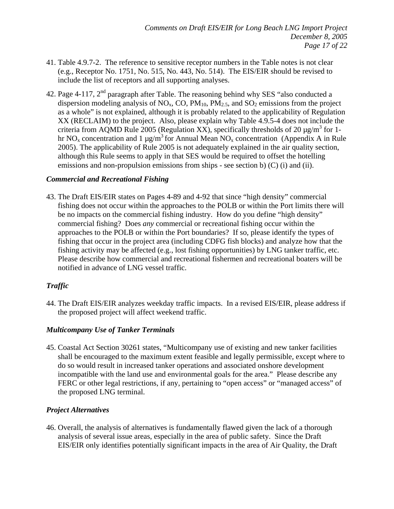- 41. Table 4.9.7-2. The reference to sensitive receptor numbers in the Table notes is not clear (e.g., Receptor No. 1751, No. 515, No. 443, No. 514). The EIS/EIR should be revised to include the list of receptors and all supporting analyses.
- 42. Page 4-117,  $2<sup>nd</sup>$  paragraph after Table. The reasoning behind why SES "also conducted a dispersion modeling analysis of  $NO<sub>x</sub>$ , CO,  $PM<sub>10</sub>$ ,  $PM<sub>2.5</sub>$ , and  $SO<sub>2</sub>$  emissions from the project as a whole" is not explained, although it is probably related to the applicability of Regulation XX (RECLAIM) to the project. Also, please explain why Table 4.9.5-4 does not include the criteria from AQMD Rule 2005 (Regulation XX), specifically thresholds of 20  $\mu$ g/m<sup>3</sup> for 1hr NO<sub>x</sub> concentration and 1 µg/m<sup>3</sup> for Annual Mean NO<sub>x</sub> concentration (Appendix A in Rule 2005). The applicability of Rule 2005 is not adequately explained in the air quality section, although this Rule seems to apply in that SES would be required to offset the hotelling emissions and non-propulsion emissions from ships - see section b)  $(C)$  (i) and (ii).

### *Commercial and Recreational Fishing*

43. The Draft EIS/EIR states on Pages 4-89 and 4-92 that since "high density" commercial fishing does not occur within the approaches to the POLB or within the Port limits there will be no impacts on the commercial fishing industry. How do you define "high density" commercial fishing? Does *any* commercial or recreational fishing occur within the approaches to the POLB or within the Port boundaries? If so, please identify the types of fishing that occur in the project area (including CDFG fish blocks) and analyze how that the fishing activity may be affected (e.g., lost fishing opportunities) by LNG tanker traffic, etc. Please describe how commercial and recreational fishermen and recreational boaters will be notified in advance of LNG vessel traffic.

### *Traffic*

44. The Draft EIS/EIR analyzes weekday traffic impacts. In a revised EIS/EIR, please address if the proposed project will affect weekend traffic.

### *Multicompany Use of Tanker Terminals*

45. Coastal Act Section 30261 states, "Multicompany use of existing and new tanker facilities shall be encouraged to the maximum extent feasible and legally permissible, except where to do so would result in increased tanker operations and associated onshore development incompatible with the land use and environmental goals for the area." Please describe any FERC or other legal restrictions, if any, pertaining to "open access" or "managed access" of the proposed LNG terminal.

### *Project Alternatives*

46. Overall, the analysis of alternatives is fundamentally flawed given the lack of a thorough analysis of several issue areas, especially in the area of public safety. Since the Draft EIS/EIR only identifies potentially significant impacts in the area of Air Quality, the Draft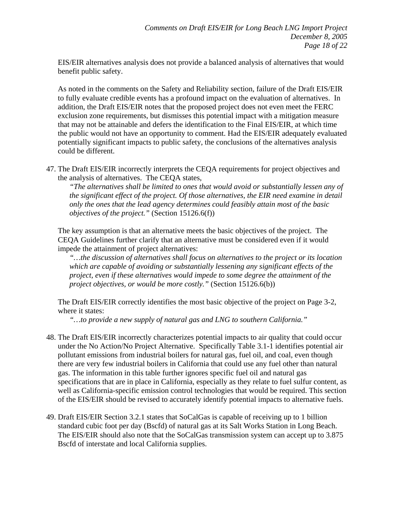EIS/EIR alternatives analysis does not provide a balanced analysis of alternatives that would benefit public safety.

As noted in the comments on the Safety and Reliability section, failure of the Draft EIS/EIR to fully evaluate credible events has a profound impact on the evaluation of alternatives. In addition, the Draft EIS/EIR notes that the proposed project does not even meet the FERC exclusion zone requirements, but dismisses this potential impact with a mitigation measure that may not be attainable and defers the identification to the Final EIS/EIR, at which time the public would not have an opportunity to comment. Had the EIS/EIR adequately evaluated potentially significant impacts to public safety, the conclusions of the alternatives analysis could be different.

47. The Draft EIS/EIR incorrectly interprets the CEQA requirements for project objectives and the analysis of alternatives. The CEQA states,

*"The alternatives shall be limited to ones that would avoid or substantially lessen any of the significant effect of the project. Of those alternatives, the EIR need examine in detail only the ones that the lead agency determines could feasibly attain most of the basic objectives of the project."* (Section 15126.6(f))

The key assumption is that an alternative meets the basic objectives of the project. The CEQA Guidelines further clarify that an alternative must be considered even if it would impede the attainment of project alternatives:

*"…the discussion of alternatives shall focus on alternatives to the project or its location which are capable of avoiding or substantially lessening any significant effects of the project, even if these alternatives would impede to some degree the attainment of the project objectives, or would be more costly."* (Section 15126.6(b))

The Draft EIS/EIR correctly identifies the most basic objective of the project on Page 3-2, where it states:

*"…to provide a new supply of natural gas and LNG to southern California."* 

- 48. The Draft EIS/EIR incorrectly characterizes potential impacts to air quality that could occur under the No Action/No Project Alternative. Specifically Table 3.1-1 identifies potential air pollutant emissions from industrial boilers for natural gas, fuel oil, and coal, even though there are very few industrial boilers in California that could use any fuel other than natural gas. The information in this table further ignores specific fuel oil and natural gas specifications that are in place in California, especially as they relate to fuel sulfur content, as well as California-specific emission control technologies that would be required. This section of the EIS/EIR should be revised to accurately identify potential impacts to alternative fuels.
- 49. Draft EIS/EIR Section 3.2.1 states that SoCalGas is capable of receiving up to 1 billion standard cubic foot per day (Bscfd) of natural gas at its Salt Works Station in Long Beach. The EIS/EIR should also note that the SoCalGas transmission system can accept up to 3.875 Bscfd of interstate and local California supplies.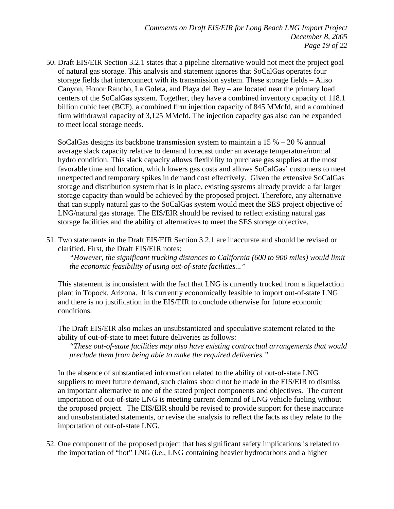50. Draft EIS/EIR Section 3.2.1 states that a pipeline alternative would not meet the project goal of natural gas storage. This analysis and statement ignores that SoCalGas operates four storage fields that interconnect with its transmission system. These storage fields – Aliso Canyon, Honor Rancho, La Goleta, and Playa del Rey – are located near the primary load centers of the SoCalGas system. Together, they have a combined inventory capacity of 118.1 billion cubic feet (BCF), a combined firm injection capacity of 845 MMcfd, and a combined firm withdrawal capacity of 3,125 MMcfd. The injection capacity gas also can be expanded to meet local storage needs.

SoCalGas designs its backbone transmission system to maintain a  $15\% - 20\%$  annual average slack capacity relative to demand forecast under an average temperature/normal hydro condition. This slack capacity allows flexibility to purchase gas supplies at the most favorable time and location, which lowers gas costs and allows SoCalGas' customers to meet unexpected and temporary spikes in demand cost effectively. Given the extensive SoCalGas storage and distribution system that is in place, existing systems already provide a far larger storage capacity than would be achieved by the proposed project. Therefore, any alternative that can supply natural gas to the SoCalGas system would meet the SES project objective of LNG/natural gas storage. The EIS/EIR should be revised to reflect existing natural gas storage facilities and the ability of alternatives to meet the SES storage objective.

51. Two statements in the Draft EIS/EIR Section 3.2.1 are inaccurate and should be revised or clarified. First, the Draft EIS/EIR notes:

*"However, the significant trucking distances to California (600 to 900 miles) would limit the economic feasibility of using out-of-state facilities..."*

This statement is inconsistent with the fact that LNG is currently trucked from a liquefaction plant in Topock, Arizona. It is currently economically feasible to import out-of-state LNG and there is no justification in the EIS/EIR to conclude otherwise for future economic conditions.

The Draft EIS/EIR also makes an unsubstantiated and speculative statement related to the ability of out-of-state to meet future deliveries as follows:

*"These out-of-state facilities may also have existing contractual arrangements that would preclude them from being able to make the required deliveries."*

In the absence of substantiated information related to the ability of out-of-state LNG suppliers to meet future demand, such claims should not be made in the EIS/EIR to dismiss an important alternative to one of the stated project components and objectives. The current importation of out-of-state LNG is meeting current demand of LNG vehicle fueling without the proposed project. The EIS/EIR should be revised to provide support for these inaccurate and unsubstantiated statements, or revise the analysis to reflect the facts as they relate to the importation of out-of-state LNG.

52. One component of the proposed project that has significant safety implications is related to the importation of "hot" LNG (i.e., LNG containing heavier hydrocarbons and a higher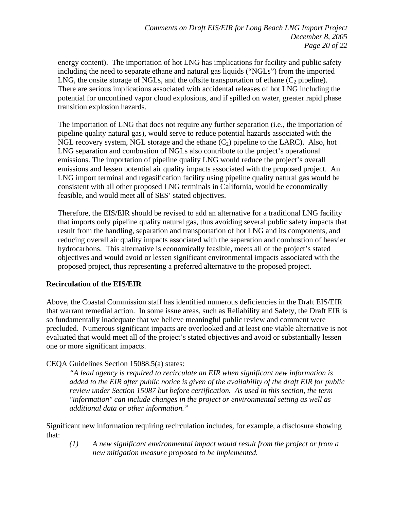energy content). The importation of hot LNG has implications for facility and public safety including the need to separate ethane and natural gas liquids ("NGLs") from the imported LNG, the onsite storage of NGLs, and the offsite transportation of ethane  $(C_2$  pipeline). There are serious implications associated with accidental releases of hot LNG including the potential for unconfined vapor cloud explosions, and if spilled on water, greater rapid phase transition explosion hazards.

The importation of LNG that does not require any further separation (i.e., the importation of pipeline quality natural gas), would serve to reduce potential hazards associated with the NGL recovery system, NGL storage and the ethane  $(C_2)$  pipeline to the LARC). Also, hot LNG separation and combustion of NGLs also contribute to the project's operational emissions. The importation of pipeline quality LNG would reduce the project's overall emissions and lessen potential air quality impacts associated with the proposed project. An LNG import terminal and regasification facility using pipeline quality natural gas would be consistent with all other proposed LNG terminals in California, would be economically feasible, and would meet all of SES' stated objectives.

Therefore, the EIS/EIR should be revised to add an alternative for a traditional LNG facility that imports only pipeline quality natural gas, thus avoiding several public safety impacts that result from the handling, separation and transportation of hot LNG and its components, and reducing overall air quality impacts associated with the separation and combustion of heavier hydrocarbons. This alternative is economically feasible, meets all of the project's stated objectives and would avoid or lessen significant environmental impacts associated with the proposed project, thus representing a preferred alternative to the proposed project.

### **Recirculation of the EIS/EIR**

Above, the Coastal Commission staff has identified numerous deficiencies in the Draft EIS/EIR that warrant remedial action. In some issue areas, such as Reliability and Safety, the Draft EIR is so fundamentally inadequate that we believe meaningful public review and comment were precluded. Numerous significant impacts are overlooked and at least one viable alternative is not evaluated that would meet all of the project's stated objectives and avoid or substantially lessen one or more significant impacts.

### CEQA Guidelines Section 15088.5(a) states:

*"A lead agency is required to recirculate an EIR when significant new information is added to the EIR after public notice is given of the availability of the draft EIR for public review under Section 15087 but before certification. As used in this section, the term "information" can include changes in the project or environmental setting as well as additional data or other information."* 

Significant new information requiring recirculation includes, for example, a disclosure showing that:

*(1) A new significant environmental impact would result from the project or from a new mitigation measure proposed to be implemented.*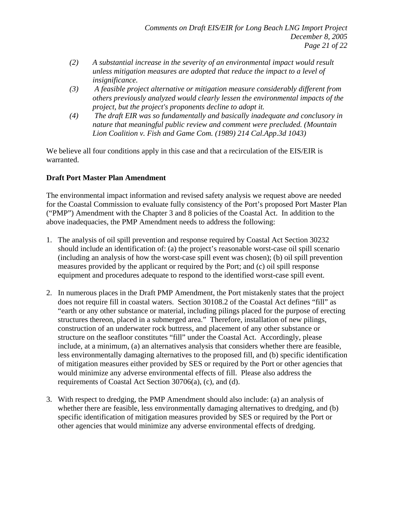- *(2) A substantial increase in the severity of an environmental impact would result unless mitigation measures are adopted that reduce the impact to a level of insignificance.*
- *(3) A feasible project alternative or mitigation measure considerably different from others previously analyzed would clearly lessen the environmental impacts of the project, but the project's proponents decline to adopt it.*
- *(4) The draft EIR was so fundamentally and basically inadequate and conclusory in nature that meaningful public review and comment were precluded. (Mountain Lion Coalition v. Fish and Game Com. (1989) 214 Cal.App.3d 1043)*

We believe all four conditions apply in this case and that a recirculation of the EIS/EIR is warranted.

### **Draft Port Master Plan Amendment**

The environmental impact information and revised safety analysis we request above are needed for the Coastal Commission to evaluate fully consistency of the Port's proposed Port Master Plan ("PMP") Amendment with the Chapter 3 and 8 policies of the Coastal Act. In addition to the above inadequacies, the PMP Amendment needs to address the following:

- 1. The analysis of oil spill prevention and response required by Coastal Act Section 30232 should include an identification of: (a) the project's reasonable worst-case oil spill scenario (including an analysis of how the worst-case spill event was chosen); (b) oil spill prevention measures provided by the applicant or required by the Port; and (c) oil spill response equipment and procedures adequate to respond to the identified worst-case spill event.
- 2. In numerous places in the Draft PMP Amendment, the Port mistakenly states that the project does not require fill in coastal waters. Section 30108.2 of the Coastal Act defines "fill" as "earth or any other substance or material, including pilings placed for the purpose of erecting structures thereon, placed in a submerged area." Therefore, installation of new pilings, construction of an underwater rock buttress, and placement of any other substance or structure on the seafloor constitutes "fill" under the Coastal Act. Accordingly, please include, at a minimum, (a) an alternatives analysis that considers whether there are feasible, less environmentally damaging alternatives to the proposed fill, and (b) specific identification of mitigation measures either provided by SES or required by the Port or other agencies that would minimize any adverse environmental effects of fill. Please also address the requirements of Coastal Act Section 30706(a), (c), and (d).
- 3. With respect to dredging, the PMP Amendment should also include: (a) an analysis of whether there are feasible, less environmentally damaging alternatives to dredging, and (b) specific identification of mitigation measures provided by SES or required by the Port or other agencies that would minimize any adverse environmental effects of dredging.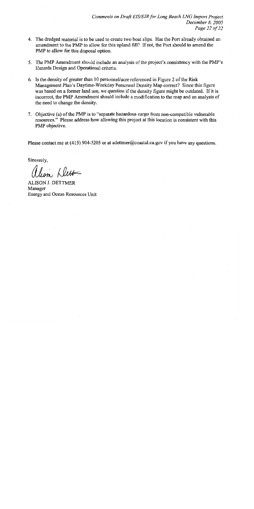- 4. The dredged material is to be used to create two boat slips. Has the Port already obtained an amendment to the PMP to allow for this upland fill? If not, the Port should to amend the PMP to allow for this disposal option.
- 5. The PMP Amendment should include an analysis of the project's consistency with the PMP's Hazards Design and Operational criteria.
- 6. Is the density of greater than 10 personnel/acre referenced in Figure 2 of the Risk Management Plan's Daytime-Weekday Personnel Density Map correct? Since this figure was based on a former land use, we question if the density figure might be outdated. If it is incorrect, the PMP Amendment should include a modification to the map and an analysis of the need to change the density.
- 7. Objective (a) of the PMP is to "separate hazardous cargo from non-compatible vulnerable resources." Please address how allowing this project at this location is consistent with this PMP objective.

Please contact me at (415) 904-5205 or at a dettmer@coastal.ca.gov if you have any questions.

Sincerely.

alism Dett

**ALISON J. DETTMER** Manager Energy and Ocean Resources Unit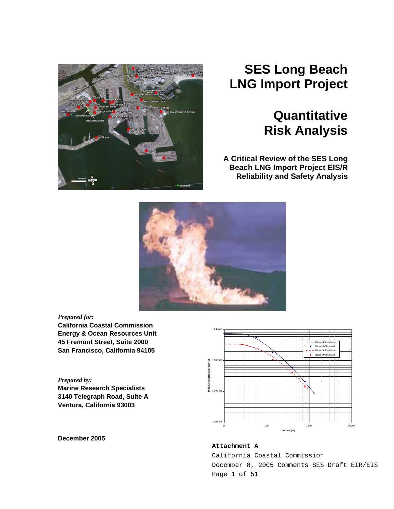

# **SES Long Beach LNG Import Project**

# **Quantitative Risk Analysis**

**A Critical Review of the SES Long Beach LNG Import Project EIS/R Reliability and Safety Analysis**



### *Prepared for:*

**California Coastal Commission Energy & Ocean Resources Unit 45 Fremont Street, Suite 2000 San Francisco, California 94105** 

*Prepared by:*  **Marine Research Specialists 3140 Telegraph Road, Suite A Ventura, California 93003** 



**December 2005** 

### **Attachment A**

California Coastal Commission December 8, 2005 Comments SES Draft EIR/EIS Page 1 of 51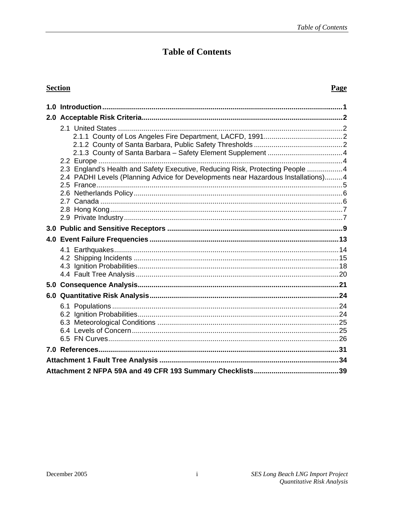# **Table of Contents**

### **Section**

### Page

| 2.3 England's Health and Safety Executive, Reducing Risk, Protecting People 4     |  |
|-----------------------------------------------------------------------------------|--|
| 2.4 PADHI Levels (Planning Advice for Developments near Hazardous Installations)4 |  |
|                                                                                   |  |
|                                                                                   |  |
|                                                                                   |  |
|                                                                                   |  |
|                                                                                   |  |
|                                                                                   |  |
|                                                                                   |  |
|                                                                                   |  |
|                                                                                   |  |
|                                                                                   |  |
|                                                                                   |  |
|                                                                                   |  |
|                                                                                   |  |
|                                                                                   |  |
|                                                                                   |  |
|                                                                                   |  |
|                                                                                   |  |
|                                                                                   |  |
|                                                                                   |  |
|                                                                                   |  |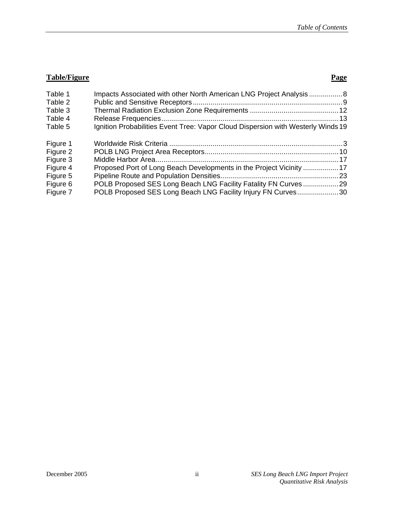### **Table/Figure Page**

| Table 1<br>Table 2 | Impacts Associated with other North American LNG Project Analysis8               |  |
|--------------------|----------------------------------------------------------------------------------|--|
| Table 3            |                                                                                  |  |
| Table 4            |                                                                                  |  |
| Table 5            | Ignition Probabilities Event Tree: Vapor Cloud Dispersion with Westerly Winds 19 |  |
| Figure 1           |                                                                                  |  |
| Figure 2           |                                                                                  |  |
| Figure 3           |                                                                                  |  |
| Figure 4           | Proposed Port of Long Beach Developments in the Project Vicinity 17              |  |
| Figure 5           |                                                                                  |  |
| Figure 6           | POLB Proposed SES Long Beach LNG Facility Fatality FN Curves 29                  |  |
| Figure 7           | POLB Proposed SES Long Beach LNG Facility Injury FN Curves30                     |  |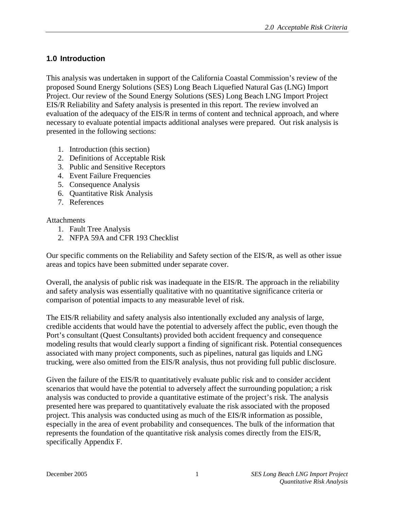# <span id="page-25-0"></span>**1.0 Introduction**

This analysis was undertaken in support of the California Coastal Commission's review of the proposed Sound Energy Solutions (SES) Long Beach Liquefied Natural Gas (LNG) Import Project. Our review of the Sound Energy Solutions (SES) Long Beach LNG Import Project EIS/R Reliability and Safety analysis is presented in this report. The review involved an evaluation of the adequacy of the EIS/R in terms of content and technical approach, and where necessary to evaluate potential impacts additional analyses were prepared. Out risk analysis is presented in the following sections:

- 1. Introduction (this section)
- 2. Definitions of Acceptable Risk
- 3. Public and Sensitive Receptors
- 4. Event Failure Frequencies
- 5. Consequence Analysis
- 6. Quantitative Risk Analysis
- 7. References

### Attachments

- 1. Fault Tree Analysis
- 2. NFPA 59A and CFR 193 Checklist

Our specific comments on the Reliability and Safety section of the EIS/R, as well as other issue areas and topics have been submitted under separate cover.

Overall, the analysis of public risk was inadequate in the EIS/R. The approach in the reliability and safety analysis was essentially qualitative with no quantitative significance criteria or comparison of potential impacts to any measurable level of risk.

The EIS/R reliability and safety analysis also intentionally excluded any analysis of large, credible accidents that would have the potential to adversely affect the public, even though the Port's consultant (Quest Consultants) provided both accident frequency and consequence modeling results that would clearly support a finding of significant risk. Potential consequences associated with many project components, such as pipelines, natural gas liquids and LNG trucking, were also omitted from the EIS/R analysis, thus not providing full public disclosure.

Given the failure of the EIS/R to quantitatively evaluate public risk and to consider accident scenarios that would have the potential to adversely affect the surrounding population; a risk analysis was conducted to provide a quantitative estimate of the project's risk. The analysis presented here was prepared to quantitatively evaluate the risk associated with the proposed project. This analysis was conducted using as much of the EIS/R information as possible, especially in the area of event probability and consequences. The bulk of the information that represents the foundation of the quantitative risk analysis comes directly from the EIS/R, specifically Appendix F.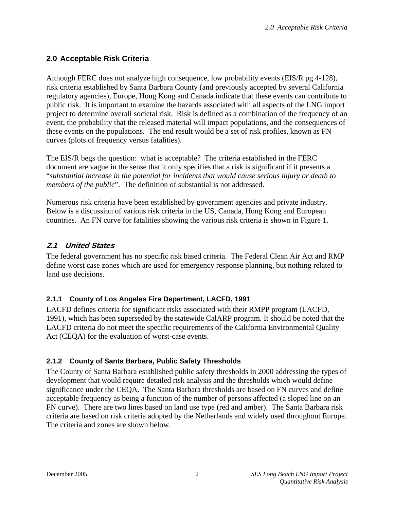# <span id="page-26-0"></span>**2.0 Acceptable Risk Criteria**

Although FERC does not analyze high consequence, low probability events (EIS/R pg 4-128), risk criteria established by Santa Barbara County (and previously accepted by several California regulatory agencies), Europe, Hong Kong and Canada indicate that these events can contribute to public risk. It is important to examine the hazards associated with all aspects of the LNG import project to determine overall societal risk. Risk is defined as a combination of the frequency of an event, the probability that the released material will impact populations, and the consequences of these events on the populations. The end result would be a set of risk profiles, known as FN curves (plots of frequency versus fatalities).

The EIS/R begs the question: what is acceptable? The criteria established in the FERC document are vague in the sense that it only specifies that a risk is significant if it presents a "*substantial increase in the potential for incidents that would cause serious injury or death to members of the public*". The definition of substantial is not addressed.

Numerous risk criteria have been established by government agencies and private industry. Below is a discussion of various risk criteria in the US, Canada, Hong Kong and European countries. An FN curve for fatalities showing the various risk criteria is shown in Figure 1.

# **2.1 United States**

The federal government has no specific risk based criteria. The Federal Clean Air Act and RMP define worst case zones which are used for emergency response planning, but nothing related to land use decisions.

### **2.1.1 County of Los Angeles Fire Department, LACFD, 1991**

LACFD defines criteria for significant risks associated with their RMPP program (LACFD, 1991), which has been superseded by the statewide CalARP program. It should be noted that the LACFD criteria do not meet the specific requirements of the California Environmental Quality Act (CEQA) for the evaluation of worst-case events.

### **2.1.2 County of Santa Barbara, Public Safety Thresholds**

The County of Santa Barbara established public safety thresholds in 2000 addressing the types of development that would require detailed risk analysis and the thresholds which would define significance under the CEQA. The Santa Barbara thresholds are based on FN curves and define acceptable frequency as being a function of the number of persons affected (a sloped line on an FN curve). There are two lines based on land use type (red and amber). The Santa Barbara risk criteria are based on risk criteria adopted by the Netherlands and widely used throughout Europe. The criteria and zones are shown below.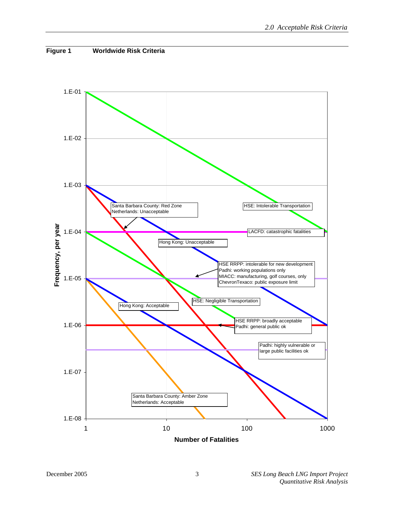<span id="page-27-0"></span>

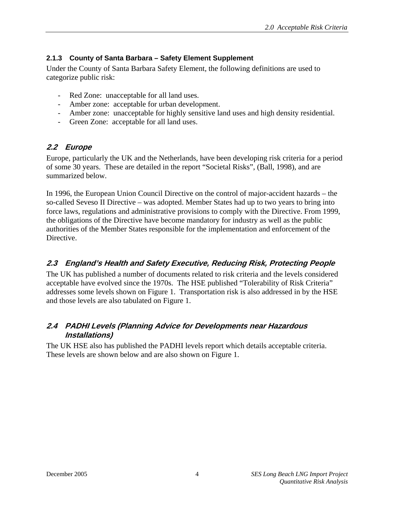### <span id="page-28-0"></span>**2.1.3 County of Santa Barbara – Safety Element Supplement**

Under the County of Santa Barbara Safety Element, the following definitions are used to categorize public risk:

- Red Zone: unacceptable for all land uses.
- Amber zone: acceptable for urban development.
- Amber zone: unacceptable for highly sensitive land uses and high density residential.
- Green Zone: acceptable for all land uses.

### **2.2 Europe**

Europe, particularly the UK and the Netherlands, have been developing risk criteria for a period of some 30 years. These are detailed in the report "Societal Risks", (Ball, 1998), and are summarized below.

In 1996, the European Union Council Directive on the control of major-accident hazards – the so-called Seveso II Directive – was adopted. Member States had up to two years to bring into force laws, regulations and administrative provisions to comply with the Directive. From 1999, the obligations of the Directive have become mandatory for industry as well as the public authorities of the Member States responsible for the implementation and enforcement of the Directive.

# **2.3 England's Health and Safety Executive, Reducing Risk, Protecting People**

The UK has published a number of documents related to risk criteria and the levels considered acceptable have evolved since the 1970s. The HSE published "Tolerability of Risk Criteria" addresses some levels shown on Figure 1. Transportation risk is also addressed in by the HSE and those levels are also tabulated on Figure 1.

## **2.4 PADHI Levels (Planning Advice for Developments near Hazardous Installations)**

The UK HSE also has published the PADHI levels report which details acceptable criteria. These levels are shown below and are also shown on Figure 1.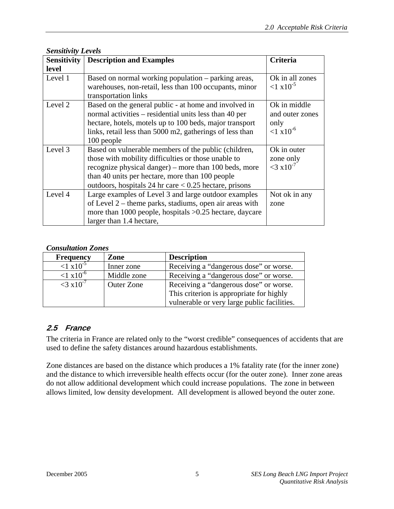<span id="page-29-0"></span>

| <b>Sensitivity Levels</b> |                                                                                                                                                                                                                                                                                     |                                                                 |  |
|---------------------------|-------------------------------------------------------------------------------------------------------------------------------------------------------------------------------------------------------------------------------------------------------------------------------------|-----------------------------------------------------------------|--|
| <b>Sensitivity</b>        | <b>Criteria</b>                                                                                                                                                                                                                                                                     |                                                                 |  |
| level                     |                                                                                                                                                                                                                                                                                     |                                                                 |  |
| Level 1                   | Based on normal working population – parking areas,<br>warehouses, non-retail, less than 100 occupants, minor<br>transportation links                                                                                                                                               | Ok in all zones<br>${1 \times 10^{-5}}$                         |  |
| Level 2                   | Based on the general public - at home and involved in<br>normal activities – residential units less than 40 per<br>hectare, hotels, motels up to 100 beds, major transport<br>links, retail less than 5000 m2, gatherings of less than<br>100 people                                | Ok in middle<br>and outer zones<br>only<br>$< 1 \times 10^{-6}$ |  |
| Level 3                   | Based on vulnerable members of the public (children,<br>those with mobility difficulties or those unable to<br>recognize physical danger) – more than 100 beds, more<br>than 40 units per hectare, more than 100 people<br>outdoors, hospitals 24 hr care $< 0.25$ hectare, prisons | Ok in outer<br>zone only<br>$<$ 3 x 10 <sup>-7</sup>            |  |
| Level 4                   | Large examples of Level 3 and large outdoor examples<br>of Level $2$ – theme parks, stadiums, open air areas with<br>more than 1000 people, hospitals $>0.25$ hectare, daycare<br>larger than 1.4 hectare,                                                                          | Not ok in any<br>zone                                           |  |

### *Consultation Zones*

| <b>Frequency</b>        | Zone              | <b>Description</b>                          |  |
|-------------------------|-------------------|---------------------------------------------|--|
| $1 \times 10^{-5}$      | Inner zone        | Receiving a "dangerous dose" or worse.      |  |
| ${1 \times 10^{-6}}$    | Middle zone       | Receiving a "dangerous dose" or worse.      |  |
| $<$ 3 x10 <sup>-7</sup> | <b>Outer Zone</b> | Receiving a "dangerous dose" or worse.      |  |
|                         |                   | This criterion is appropriate for highly    |  |
|                         |                   | vulnerable or very large public facilities. |  |

### **2.5 France**

The criteria in France are related only to the "worst credible" consequences of accidents that are used to define the safety distances around hazardous establishments.

Zone distances are based on the distance which produces a 1% fatality rate (for the inner zone) and the distance to which irreversible health effects occur (for the outer zone). Inner zone areas do not allow additional development which could increase populations. The zone in between allows limited, low density development. All development is allowed beyond the outer zone.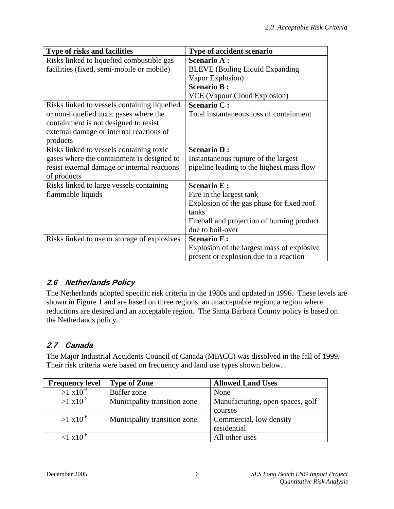<span id="page-30-0"></span>

| Type of risks and facilities                 | Type of accident scenario                  |
|----------------------------------------------|--------------------------------------------|
| Risks linked to liquefied combustible gas    | <b>Scenario A:</b>                         |
| facilities (fixed, semi-mobile or mobile)    | <b>BLEVE</b> (Boiling Liquid Expanding     |
|                                              | Vapor Explosion)                           |
|                                              | <b>Scenario B:</b>                         |
|                                              | VCE (Vapour Cloud Explosion)               |
| Risks linked to vessels containing liquefied | <b>Scenario C:</b>                         |
| or non-liquefied toxic gases where the       | Total instantaneous loss of containment    |
| containment is not designed to resist        |                                            |
| external damage or internal reactions of     |                                            |
| products                                     |                                            |
| Risks linked to vessels containing toxic     | <b>Scenario D:</b>                         |
| gases where the containment is designed to   | Instantaneous rupture of the largest       |
| resist external damage or internal reactions | pipeline leading to the highest mass flow  |
| of products                                  |                                            |
| Risks linked to large vessels containing     | <b>Scenario E:</b>                         |
| flammable liquids                            | Fire in the largest tank                   |
|                                              | Explosion of the gas phase for fixed roof  |
|                                              | tanks                                      |
|                                              | Fireball and projection of burning product |
|                                              | due to boil-over                           |
| Risks linked to use or storage of explosives | <b>Scenario F:</b>                         |
|                                              | Explosion of the largest mass of explosive |
|                                              | present or explosion due to a reaction     |

# **2.6 Netherlands Policy**

The Netherlands adopted specific risk criteria in the 1980s and updated in 1996. These levels are shown in Figure 1 and are based on three regions: an unacceptable region, a region where reductions are desired and an acceptable region. The Santa Barbara County policy is based on the Netherlands policy.

# **2.7 Canada**

The Major Industrial Accidents Council of Canada (MIACC) was dissolved in the fall of 1999. Their risk criteria were based on frequency and land use types shown below.

| <b>Frequency level</b> | <b>Type of Zone</b>          | <b>Allowed Land Uses</b>         |  |
|------------------------|------------------------------|----------------------------------|--|
| $>1 \times 10^{-4}$    | Buffer zone                  | None                             |  |
| $>1 \times 10^{-5}$    | Municipality transition zone | Manufacturing, open spaces, golf |  |
|                        |                              | courses                          |  |
| $>1 \times 10^{-6}$    | Municipality transition zone | Commercial, low density          |  |
|                        |                              | residential                      |  |
| $1 \times 10^{-6}$     |                              | All other uses                   |  |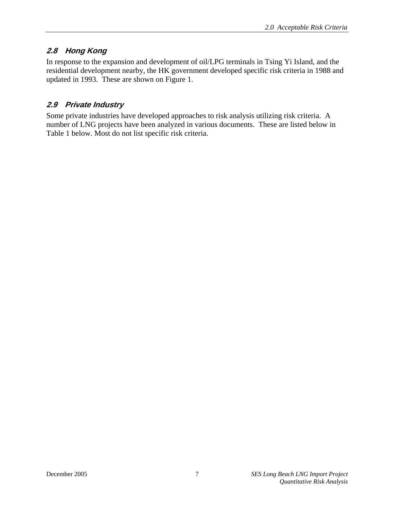# <span id="page-31-0"></span>**2.8 Hong Kong**

In response to the expansion and development of oil/LPG terminals in Tsing Yi Island, and the residential development nearby, the HK government developed specific risk criteria in 1988 and updated in 1993. These are shown on Figure 1.

# **2.9 Private Industry**

Some private industries have developed approaches to risk analysis utilizing risk criteria. A number of LNG projects have been analyzed in various documents. These are listed below in Table 1 below. Most do not list specific risk criteria.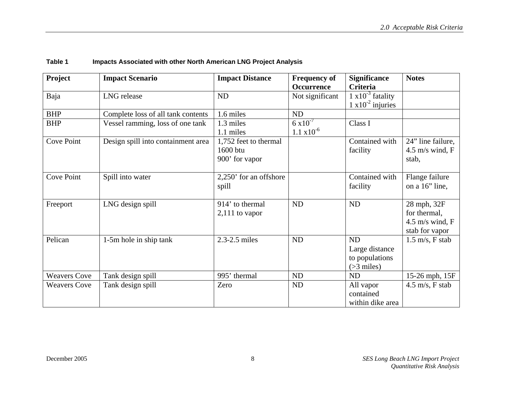<span id="page-32-0"></span>

| Project             | <b>Impact Scenario</b>             | <b>Impact Distance</b> | <b>Frequency of</b>  | <b>Significance</b>         | <b>Notes</b>                      |
|---------------------|------------------------------------|------------------------|----------------------|-----------------------------|-----------------------------------|
|                     |                                    |                        | Occurrence           | <b>Criteria</b>             |                                   |
| Baja                | <b>LNG</b> release                 | <b>ND</b>              | Not significant      | $1 \times 10^{-3}$ fatality |                                   |
|                     |                                    |                        |                      | $1 \times 10^{-2}$ injuries |                                   |
| <b>BHP</b>          | Complete loss of all tank contents | 1.6 miles              | ND                   |                             |                                   |
| <b>BHP</b>          | Vessel ramming, loss of one tank   | 1.3 miles              | $6 \times 10^{-7}$   | Class I                     |                                   |
|                     |                                    | 1.1 miles              | $1.1 \times 10^{-6}$ |                             |                                   |
| <b>Cove Point</b>   | Design spill into containment area | 1,752 feet to thermal  |                      | Contained with              | 24" line failure,                 |
|                     |                                    | 1600 btu               |                      | facility                    | 4.5 m/s wind, $F$                 |
|                     |                                    | 900' for vapor         |                      |                             | stab,                             |
|                     |                                    |                        |                      |                             |                                   |
| Cove Point          | Spill into water                   | 2,250' for an offshore |                      | Contained with              | Flange failure                    |
|                     |                                    | spill                  |                      | facility                    | on a 16" line,                    |
|                     |                                    |                        |                      |                             |                                   |
| Freeport            | LNG design spill                   | 914' to thermal        | ND                   | ND                          | 28 mph, 32F                       |
|                     |                                    | $2,111$ to vapor       |                      |                             | for thermal,                      |
|                     |                                    |                        |                      |                             | 4.5 m/s wind, $F$                 |
|                     |                                    |                        |                      |                             | stab for vapor                    |
| Pelican             | 1-5m hole in ship tank             | 2.3-2.5 miles          | ND                   | <b>ND</b>                   | $1.5 \text{ m/s}, F \text{ stab}$ |
|                     |                                    |                        |                      | Large distance              |                                   |
|                     |                                    |                        |                      | to populations              |                                   |
|                     |                                    |                        |                      | $($ >3 miles $)$            |                                   |
| <b>Weavers Cove</b> | Tank design spill                  | 995' thermal           | <b>ND</b>            | <b>ND</b>                   | 15-26 mph, 15F                    |
| <b>Weavers Cove</b> | Tank design spill                  | Zero                   | ND                   | All vapor                   | $4.5 \text{ m/s}, F \text{ stab}$ |
|                     |                                    |                        |                      | contained                   |                                   |
|                     |                                    |                        |                      | within dike area            |                                   |

### **Table 1 Impacts Associated with other North American LNG Project Analysis**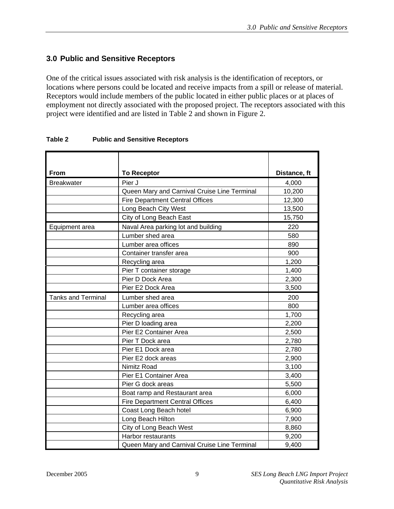## <span id="page-33-0"></span>**3.0 Public and Sensitive Receptors**

One of the critical issues associated with risk analysis is the identification of receptors, or locations where persons could be located and receive impacts from a spill or release of material. Receptors would include members of the public located in either public places or at places of employment not directly associated with the proposed project. The receptors associated with this project were identified and are listed in Table 2 and shown in Figure 2.

| From                      | <b>To Receptor</b>                           | Distance, ft |
|---------------------------|----------------------------------------------|--------------|
| <b>Breakwater</b>         | Pier J                                       | 4,000        |
|                           | Queen Mary and Carnival Cruise Line Terminal | 10,200       |
|                           | <b>Fire Department Central Offices</b>       | 12,300       |
|                           | Long Beach City West                         | 13,500       |
|                           | City of Long Beach East                      | 15,750       |
| Equipment area            | Naval Area parking lot and building          | 220          |
|                           | Lumber shed area                             | 580          |
|                           | Lumber area offices                          | 890          |
|                           | Container transfer area                      | 900          |
|                           | Recycling area                               | 1,200        |
|                           | Pier T container storage                     | 1,400        |
|                           | Pier D Dock Area                             | 2,300        |
|                           | Pier E2 Dock Area                            | 3,500        |
| <b>Tanks and Terminal</b> | Lumber shed area                             | 200          |
|                           | Lumber area offices                          | 800          |
|                           | Recycling area                               | 1,700        |
|                           | Pier D loading area                          | 2,200        |
|                           | Pier E2 Container Area                       | 2,500        |
|                           | Pier T Dock area                             | 2,780        |
|                           | Pier E1 Dock area                            | 2,780        |
|                           | Pier E2 dock areas                           | 2,900        |
|                           | Nimitz Road                                  | 3,100        |
|                           | Pier E1 Container Area                       | 3,400        |
|                           | Pier G dock areas                            | 5,500        |
|                           | Boat ramp and Restaurant area                | 6,000        |
|                           | <b>Fire Department Central Offices</b>       | 6,400        |
|                           | Coast Long Beach hotel                       | 6,900        |
|                           | Long Beach Hilton                            | 7,900        |
|                           | City of Long Beach West                      | 8,860        |
|                           | <b>Harbor restaurants</b>                    | 9,200        |
|                           | Queen Mary and Carnival Cruise Line Terminal | 9,400        |

### **Table 2 Public and Sensitive Receptors**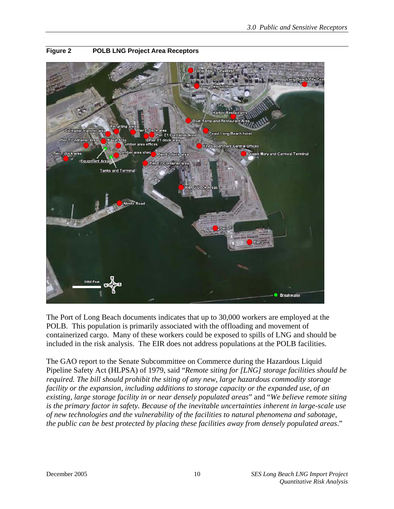

### <span id="page-34-0"></span>**Figure 2 POLB LNG Project Area Receptors**

The Port of Long Beach documents indicates that up to 30,000 workers are employed at the POLB. This population is primarily associated with the offloading and movement of containerized cargo. Many of these workers could be exposed to spills of LNG and should be included in the risk analysis. The EIR does not address populations at the POLB facilities.

The GAO report to the Senate Subcommittee on Commerce during the Hazardous Liquid Pipeline Safety Act (HLPSA) of 1979, said "*Remote siting for [LNG] storage facilities should be required. The bill should prohibit the siting of any new, large hazardous commodity storage facility or the expansion, including additions to storage capacity or the expanded use, of an existing, large storage facility in or near densely populated areas*" and "*We believe remote siting is the primary factor in safety. Because of the inevitable uncertainties inherent in large-scale use of new technologies and the vulnerability of the facilities to natural phenomena and sabotage, the public can be best protected by placing these facilities away from densely populated areas*."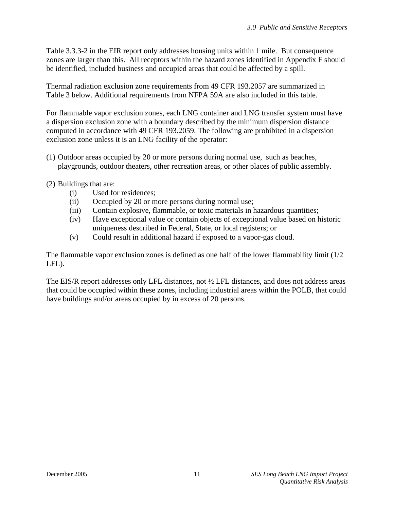Table 3.3.3-2 in the EIR report only addresses housing units within 1 mile. But consequence zones are larger than this. All receptors within the hazard zones identified in Appendix F should be identified, included business and occupied areas that could be affected by a spill.

Thermal radiation exclusion zone requirements from 49 CFR 193.2057 are summarized in Table 3 below. Additional requirements from NFPA 59A are also included in this table.

For flammable vapor exclusion zones, each LNG container and LNG transfer system must have a dispersion exclusion zone with a boundary described by the minimum dispersion distance computed in accordance with 49 CFR 193.2059. The following are prohibited in a dispersion exclusion zone unless it is an LNG facility of the operator:

- (1) Outdoor areas occupied by 20 or more persons during normal use, such as beaches, playgrounds, outdoor theaters, other recreation areas, or other places of public assembly.
- (2) Buildings that are:
	- (i) Used for residences;
	- (ii) Occupied by 20 or more persons during normal use;
	- (iii) Contain explosive, flammable, or toxic materials in hazardous quantities;
	- (iv) Have exceptional value or contain objects of exceptional value based on historic uniqueness described in Federal, State, or local registers; or
	- (v) Could result in additional hazard if exposed to a vapor-gas cloud.

The flammable vapor exclusion zones is defined as one half of the lower flammability limit (1/2 LFL).

The EIS/R report addresses only LFL distances, not ½ LFL distances, and does not address areas that could be occupied within these zones, including industrial areas within the POLB, that could have buildings and/or areas occupied by in excess of 20 persons.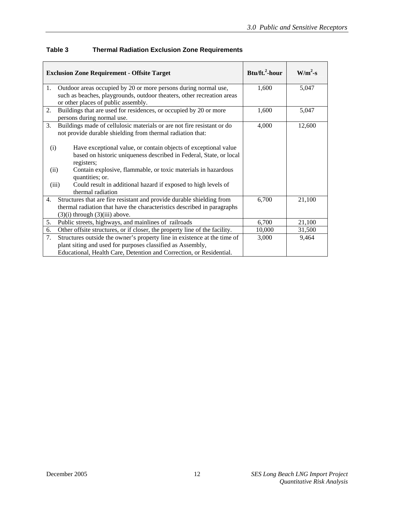| <b>Exclusion Zone Requirement - Offsite Target</b>                                                                                                                                           | Btu/ft. <sup>2</sup> -hour | $W/m^2-s$ |
|----------------------------------------------------------------------------------------------------------------------------------------------------------------------------------------------|----------------------------|-----------|
| Outdoor areas occupied by 20 or more persons during normal use,<br>1.                                                                                                                        | 1,600                      | 5,047     |
| such as beaches, playgrounds, outdoor theaters, other recreation areas<br>or other places of public assembly.                                                                                |                            |           |
| Buildings that are used for residences, or occupied by 20 or more<br>2.<br>persons during normal use.                                                                                        | 1,600                      | 5,047     |
| Buildings made of cellulosic materials or are not fire resistant or do<br>3.<br>not provide durable shielding from thermal radiation that:                                                   | 4,000                      | 12,600    |
| Have exceptional value, or contain objects of exceptional value<br>(i)<br>based on historic uniqueness described in Federal, State, or local<br>registers;                                   |                            |           |
| Contain explosive, flammable, or toxic materials in hazardous<br>(ii)<br>quantities; or.                                                                                                     |                            |           |
| Could result in additional hazard if exposed to high levels of<br>(iii)<br>thermal radiation                                                                                                 |                            |           |
| Structures that are fire resistant and provide durable shielding from<br>4.<br>thermal radiation that have the characteristics described in paragraphs<br>$(3)(i)$ through $(3)(iii)$ above. | 6,700                      | 21,100    |
| Public streets, highways, and mainlines of railroads<br>5.                                                                                                                                   | 6,700                      | 21,100    |
| Other offsite structures, or if closer, the property line of the facility.<br>6.                                                                                                             | 10,000                     | 31,500    |
| Structures outside the owner's property line in existence at the time of<br>7.                                                                                                               | 3,000                      | 9,464     |
| plant siting and used for purposes classified as Assembly,                                                                                                                                   |                            |           |
| Educational, Health Care, Detention and Correction, or Residential.                                                                                                                          |                            |           |

#### **Table 3 Thermal Radiation Exclusion Zone Requirements**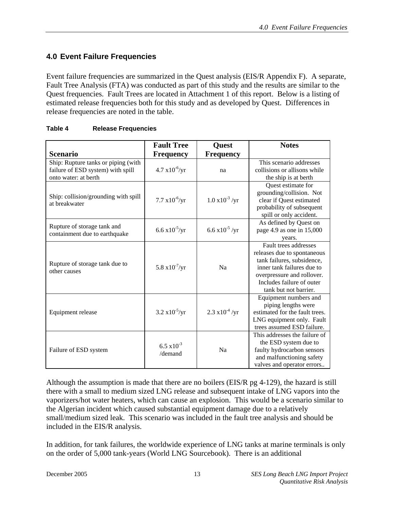#### **4.0 Event Failure Frequencies**

Event failure frequencies are summarized in the Quest analysis (EIS/R Appendix F). A separate, Fault Tree Analysis (FTA) was conducted as part of this study and the results are similar to the Quest frequencies. Fault Trees are located in Attachment 1 of this report. Below is a listing of estimated release frequencies both for this study and as developed by Quest. Differences in release frequencies are noted in the table.

|                                                                                                  | <b>Fault Tree</b>               | Quest                    | <b>Notes</b>                                                                                                                                                                                         |
|--------------------------------------------------------------------------------------------------|---------------------------------|--------------------------|------------------------------------------------------------------------------------------------------------------------------------------------------------------------------------------------------|
| <b>Scenario</b>                                                                                  | <b>Frequency</b>                | <b>Frequency</b>         |                                                                                                                                                                                                      |
| Ship: Rupture tanks or piping (with<br>failure of ESD system) with spill<br>onto water: at berth | $4.7 \times 10^{-6}$ /yr        | na                       | This scenario addresses<br>collisions or allisons while<br>the ship is at berth                                                                                                                      |
| Ship: collision/grounding with spill<br>at breakwater                                            | $7.7 \times 10^{-6}$ /yr        | $1.0 \times 10^{-3}$ /yr | Quest estimate for<br>grounding/collision. Not<br>clear if Quest estimated<br>probability of subsequent<br>spill or only accident.                                                                   |
| Rupture of storage tank and<br>containment due to earthquake                                     | $6.6 \times 10^{-5}$ /yr        | $6.6 \times 10^{-5}$ /yr | As defined by Quest on<br>page 4.9 as one in 15,000<br>years.                                                                                                                                        |
| Rupture of storage tank due to<br>other causes                                                   | $5.8 \times 10^{-7}$ /yr        | <b>Na</b>                | Fault trees addresses<br>releases due to spontaneous<br>tank failures, subsidence,<br>inner tank failures due to<br>overpressure and rollover.<br>Includes failure of outer<br>tank but not barrier. |
| Equipment release                                                                                | $3.2 \times 10^{-5}$ /yr        | $2.3 \times 10^{-4}$ /yr | Equipment numbers and<br>piping lengths were<br>estimated for the fault trees.<br>LNG equipment only. Fault<br>trees assumed ESD failure.                                                            |
| Failure of ESD system                                                                            | $6.5 \times 10^{-3}$<br>/demand | Na                       | This addresses the failure of<br>the ESD system due to<br>faulty hydrocarbon sensors<br>and malfunctioning safety<br>valves and operator errors                                                      |

#### **Table 4 Release Frequencies**

Although the assumption is made that there are no boilers (EIS/R pg 4-129), the hazard is still there with a small to medium sized LNG release and subsequent intake of LNG vapors into the vaporizers/hot water heaters, which can cause an explosion. This would be a scenario similar to the Algerian incident which caused substantial equipment damage due to a relatively small/medium sized leak. This scenario was included in the fault tree analysis and should be included in the EIS/R analysis.

In addition, for tank failures, the worldwide experience of LNG tanks at marine terminals is only on the order of 5,000 tank-years (World LNG Sourcebook). There is an additional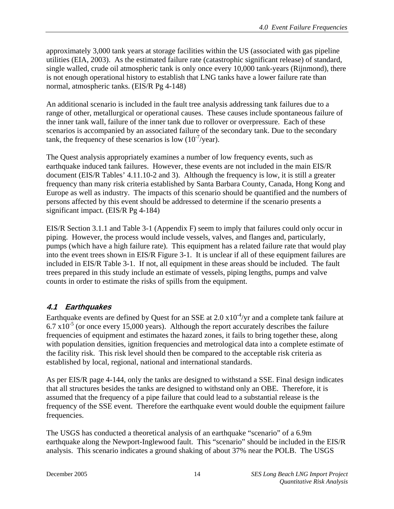approximately 3,000 tank years at storage facilities within the US (associated with gas pipeline utilities (EIA, 2003). As the estimated failure rate (catastrophic significant release) of standard, single walled, crude oil atmospheric tank is only once every 10,000 tank-years (Rijnmond), there is not enough operational history to establish that LNG tanks have a lower failure rate than normal, atmospheric tanks. (EIS/R Pg 4-148)

An additional scenario is included in the fault tree analysis addressing tank failures due to a range of other, metallurgical or operational causes. These causes include spontaneous failure of the inner tank wall, failure of the inner tank due to rollover or overpressure. Each of these scenarios is accompanied by an associated failure of the secondary tank. Due to the secondary tank, the frequency of these scenarios is low  $(10^{-7}/year)$ .

The Quest analysis appropriately examines a number of low frequency events, such as earthquake induced tank failures. However, these events are not included in the main EIS/R document (EIS/R Tables' 4.11.10-2 and 3). Although the frequency is low, it is still a greater frequency than many risk criteria established by Santa Barbara County, Canada, Hong Kong and Europe as well as industry. The impacts of this scenario should be quantified and the numbers of persons affected by this event should be addressed to determine if the scenario presents a significant impact. (EIS/R Pg 4-184)

EIS/R Section 3.1.1 and Table 3-1 (Appendix F) seem to imply that failures could only occur in piping. However, the process would include vessels, valves, and flanges and, particularly, pumps (which have a high failure rate). This equipment has a related failure rate that would play into the event trees shown in EIS/R Figure 3-1. It is unclear if all of these equipment failures are included in EIS/R Table 3-1. If not, all equipment in these areas should be included. The fault trees prepared in this study include an estimate of vessels, piping lengths, pumps and valve counts in order to estimate the risks of spills from the equipment.

## **4.1 Earthquakes**

Earthquake events are defined by Quest for an SSE at  $2.0 \times 10^{-4}$ /yr and a complete tank failure at  $6.7 \times 10^{-5}$  (or once every 15,000 years). Although the report accurately describes the failure frequencies of equipment and estimates the hazard zones, it fails to bring together these, along with population densities, ignition frequencies and metrological data into a complete estimate of the facility risk. This risk level should then be compared to the acceptable risk criteria as established by local, regional, national and international standards.

As per EIS/R page 4-144, only the tanks are designed to withstand a SSE. Final design indicates that all structures besides the tanks are designed to withstand only an OBE. Therefore, it is assumed that the frequency of a pipe failure that could lead to a substantial release is the frequency of the SSE event. Therefore the earthquake event would double the equipment failure frequencies.

The USGS has conducted a theoretical analysis of an earthquake "scenario" of a 6.9m earthquake along the Newport-Inglewood fault. This "scenario" should be included in the EIS/R analysis. This scenario indicates a ground shaking of about 37% near the POLB. The USGS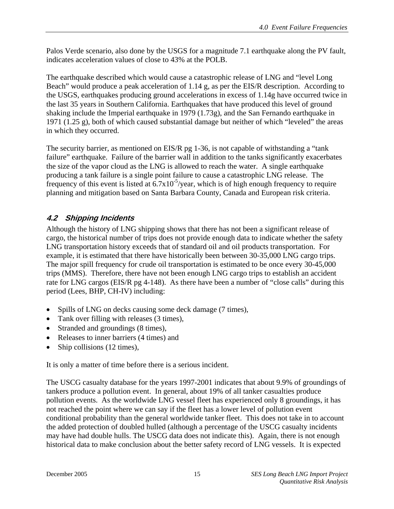Palos Verde scenario, also done by the USGS for a magnitude 7.1 earthquake along the PV fault, indicates acceleration values of close to 43% at the POLB.

The earthquake described which would cause a catastrophic release of LNG and "level Long Beach" would produce a peak acceleration of 1.14 g, as per the EIS/R description. According to the USGS, earthquakes producing ground accelerations in excess of 1.14g have occurred twice in the last 35 years in Southern California. Earthquakes that have produced this level of ground shaking include the Imperial earthquake in 1979 (1.73g), and the San Fernando earthquake in 1971 (1.25 g), both of which caused substantial damage but neither of which "leveled" the areas in which they occurred.

The security barrier, as mentioned on EIS/R pg 1-36, is not capable of withstanding a "tank failure" earthquake. Failure of the barrier wall in addition to the tanks significantly exacerbates the size of the vapor cloud as the LNG is allowed to reach the water. A single earthquake producing a tank failure is a single point failure to cause a catastrophic LNG release. The frequency of this event is listed at  $6.7x10^{-5}/year$ , which is of high enough frequency to require planning and mitigation based on Santa Barbara County, Canada and European risk criteria.

# **4.2 Shipping Incidents**

Although the history of LNG shipping shows that there has not been a significant release of cargo, the historical number of trips does not provide enough data to indicate whether the safety LNG transportation history exceeds that of standard oil and oil products transportation. For example, it is estimated that there have historically been between 30-35,000 LNG cargo trips. The major spill frequency for crude oil transportation is estimated to be once every 30-45,000 trips (MMS). Therefore, there have not been enough LNG cargo trips to establish an accident rate for LNG cargos (EIS/R pg 4-148). As there have been a number of "close calls" during this period (Lees, BHP, CH-IV) including:

- Spills of LNG on decks causing some deck damage (7 times),
- Tank over filling with releases (3 times),
- Stranded and groundings (8 times),
- Releases to inner barriers (4 times) and
- Ship collisions (12 times),

It is only a matter of time before there is a serious incident.

The USCG casualty database for the years 1997-2001 indicates that about 9.9% of groundings of tankers produce a pollution event. In general, about 19% of all tanker casualties produce pollution events. As the worldwide LNG vessel fleet has experienced only 8 groundings, it has not reached the point where we can say if the fleet has a lower level of pollution event conditional probability than the general worldwide tanker fleet. This does not take in to account the added protection of doubled hulled (although a percentage of the USCG casualty incidents may have had double hulls. The USCG data does not indicate this). Again, there is not enough historical data to make conclusion about the better safety record of LNG vessels. It is expected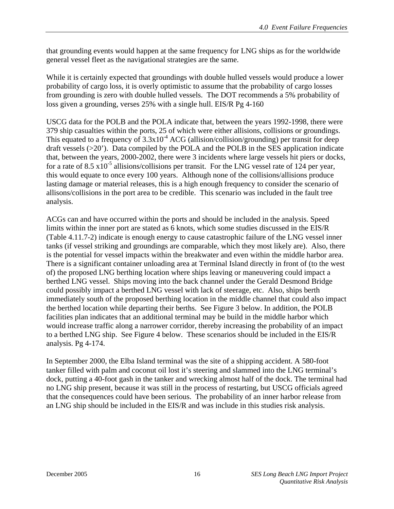that grounding events would happen at the same frequency for LNG ships as for the worldwide general vessel fleet as the navigational strategies are the same.

While it is certainly expected that groundings with double hulled vessels would produce a lower probability of cargo loss, it is overly optimistic to assume that the probability of cargo losses from grounding is zero with double hulled vessels. The DOT recommends a 5% probability of loss given a grounding, verses 25% with a single hull. EIS/R Pg 4-160

USCG data for the POLB and the POLA indicate that, between the years 1992-1998, there were 379 ship casualties within the ports, 25 of which were either allisions, collisions or groundings. This equated to a frequency of  $3.3x10^{-4}$  ACG (allision/collision/grounding) per transit for deep draft vessels (>20'). Data compiled by the POLA and the POLB in the SES application indicate that, between the years, 2000-2002, there were 3 incidents where large vessels hit piers or docks, for a rate of 8.5  $x10^{-5}$  allisions/collisions per transit. For the LNG vessel rate of 124 per year, this would equate to once every 100 years. Although none of the collisions/allisions produce lasting damage or material releases, this is a high enough frequency to consider the scenario of allisons/collisions in the port area to be credible. This scenario was included in the fault tree analysis.

ACGs can and have occurred within the ports and should be included in the analysis. Speed limits within the inner port are stated as 6 knots, which some studies discussed in the EIS/R (Table 4.11.7-2) indicate is enough energy to cause catastrophic failure of the LNG vessel inner tanks (if vessel striking and groundings are comparable, which they most likely are). Also, there is the potential for vessel impacts within the breakwater and even within the middle harbor area. There is a significant container unloading area at Terminal Island directly in front of (to the west of) the proposed LNG berthing location where ships leaving or maneuvering could impact a berthed LNG vessel. Ships moving into the back channel under the Gerald Desmond Bridge could possibly impact a berthed LNG vessel with lack of steerage, etc. Also, ships berth immediately south of the proposed berthing location in the middle channel that could also impact the berthed location while departing their berths. See Figure 3 below. In addition, the POLB facilities plan indicates that an additional terminal may be build in the middle harbor which would increase traffic along a narrower corridor, thereby increasing the probability of an impact to a berthed LNG ship. See Figure 4 below. These scenarios should be included in the EIS/R analysis. Pg 4-174.

In September 2000, the Elba Island terminal was the site of a shipping accident. A 580-foot tanker filled with palm and coconut oil lost it's steering and slammed into the LNG terminal's dock, putting a 40-foot gash in the tanker and wrecking almost half of the dock. The terminal had no LNG ship present, because it was still in the process of restarting, but USCG officials agreed that the consequences could have been serious. The probability of an inner harbor release from an LNG ship should be included in the EIS/R and was include in this studies risk analysis.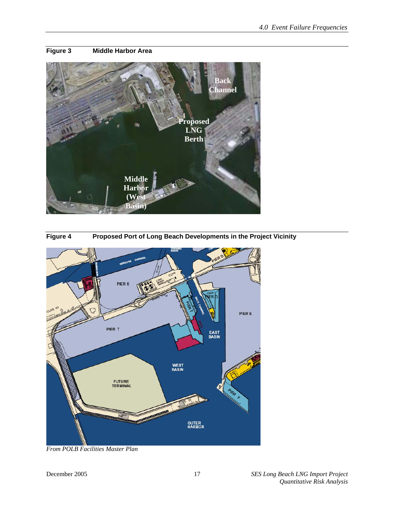#### **Figure 3 Middle Harbor Area**







*From POLB Facilities Master Plan*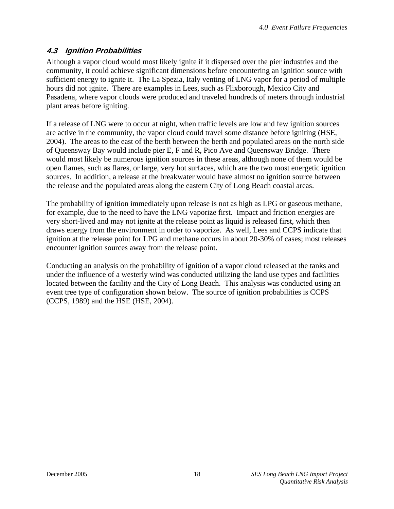## **4.3 Ignition Probabilities**

Although a vapor cloud would most likely ignite if it dispersed over the pier industries and the community, it could achieve significant dimensions before encountering an ignition source with sufficient energy to ignite it. The La Spezia, Italy venting of LNG vapor for a period of multiple hours did not ignite. There are examples in Lees, such as Flixborough, Mexico City and Pasadena, where vapor clouds were produced and traveled hundreds of meters through industrial plant areas before igniting.

If a release of LNG were to occur at night, when traffic levels are low and few ignition sources are active in the community, the vapor cloud could travel some distance before igniting (HSE, 2004). The areas to the east of the berth between the berth and populated areas on the north side of Queensway Bay would include pier E, F and R, Pico Ave and Queensway Bridge. There would most likely be numerous ignition sources in these areas, although none of them would be open flames, such as flares, or large, very hot surfaces, which are the two most energetic ignition sources. In addition, a release at the breakwater would have almost no ignition source between the release and the populated areas along the eastern City of Long Beach coastal areas.

The probability of ignition immediately upon release is not as high as LPG or gaseous methane, for example, due to the need to have the LNG vaporize first. Impact and friction energies are very short-lived and may not ignite at the release point as liquid is released first, which then draws energy from the environment in order to vaporize. As well, Lees and CCPS indicate that ignition at the release point for LPG and methane occurs in about 20-30% of cases; most releases encounter ignition sources away from the release point.

Conducting an analysis on the probability of ignition of a vapor cloud released at the tanks and under the influence of a westerly wind was conducted utilizing the land use types and facilities located between the facility and the City of Long Beach. This analysis was conducted using an event tree type of configuration shown below. The source of ignition probabilities is CCPS (CCPS, 1989) and the HSE (HSE, 2004).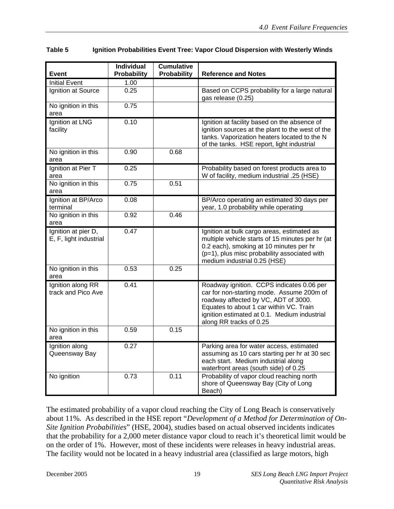| Table 5 | Ignition Probabilities Event Tree: Vapor Cloud Dispersion with Westerly Winds |  |
|---------|-------------------------------------------------------------------------------|--|
|---------|-------------------------------------------------------------------------------|--|

| <b>Event</b>                                  | <b>Individual</b><br><b>Probability</b> | <b>Cumulative</b><br>Probability | <b>Reference and Notes</b>                                                                                                                                                                                                                           |
|-----------------------------------------------|-----------------------------------------|----------------------------------|------------------------------------------------------------------------------------------------------------------------------------------------------------------------------------------------------------------------------------------------------|
| <b>Initial Event</b>                          | 1.00                                    |                                  |                                                                                                                                                                                                                                                      |
| Ignition at Source                            | 0.25                                    |                                  | Based on CCPS probability for a large natural<br>gas release (0.25)                                                                                                                                                                                  |
| No ignition in this<br>area                   | 0.75                                    |                                  |                                                                                                                                                                                                                                                      |
| Ignition at LNG<br>facility                   | 0.10                                    |                                  | Ignition at facility based on the absence of<br>ignition sources at the plant to the west of the<br>tanks. Vaporization heaters located to the N<br>of the tanks. HSE report, light industrial                                                       |
| No ignition in this<br>area                   | 0.90                                    | 0.68                             |                                                                                                                                                                                                                                                      |
| Ignition at Pier T<br>area                    | 0.25                                    |                                  | Probability based on forest products area to<br>W of facility, medium industrial .25 (HSE)                                                                                                                                                           |
| No ignition in this<br>area                   | 0.75                                    | 0.51                             |                                                                                                                                                                                                                                                      |
| Ignition at BP/Arco<br>terminal               | 0.08                                    |                                  | BP/Arco operating an estimated 30 days per<br>year, 1.0 probability while operating                                                                                                                                                                  |
| No ignition in this<br>area                   | 0.92                                    | 0.46                             |                                                                                                                                                                                                                                                      |
| Ignition at pier D,<br>E, F, light industrial | 0.47                                    |                                  | Ignition at bulk cargo areas, estimated as<br>multiple vehicle starts of 15 minutes per hr (at<br>0.2 each), smoking at 10 minutes per hr<br>(p=1), plus misc probability associated with<br>medium industrial 0.25 (HSE)                            |
| No ignition in this<br>area                   | 0.53                                    | 0.25                             |                                                                                                                                                                                                                                                      |
| Ignition along RR<br>track and Pico Ave       | 0.41                                    |                                  | Roadway ignition. CCPS indicates 0.06 per<br>car for non-starting mode. Assume 200m of<br>roadway affected by VC, ADT of 3000.<br>Equates to about 1 car within VC. Train<br>ignition estimated at 0.1. Medium industrial<br>along RR tracks of 0.25 |
| No ignition in this<br>area                   | 0.59                                    | 0.15                             |                                                                                                                                                                                                                                                      |
| Ignition along<br>Queensway Bay               | 0.27                                    |                                  | Parking area for water access, estimated<br>assuming as 10 cars starting per hr at 30 sec<br>each start. Medium industrial along<br>waterfront areas (south side) of 0.25                                                                            |
| No ignition                                   | 0.73                                    | 0.11                             | Probability of vapor cloud reaching north<br>shore of Queensway Bay (City of Long<br>Beach)                                                                                                                                                          |

The estimated probability of a vapor cloud reaching the City of Long Beach is conservatively about 11%. As described in the HSE report "*Development of a Method for Determination of On-Site Ignition Probabilities*" (HSE, 2004), studies based on actual observed incidents indicates that the probability for a 2,000 meter distance vapor cloud to reach it's theoretical limit would be on the order of 1%. However, most of these incidents were releases in heavy industrial areas. The facility would not be located in a heavy industrial area (classified as large motors, high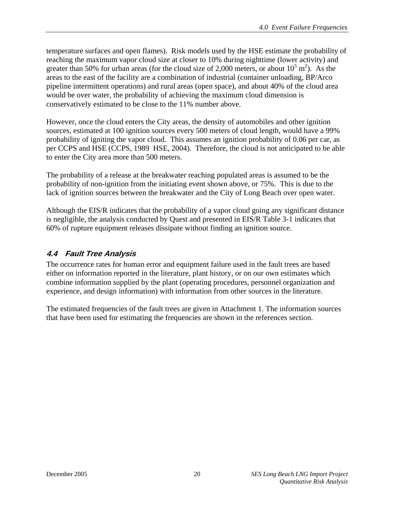temperature surfaces and open flames). Risk models used by the HSE estimate the probability of reaching the maximum vapor cloud size at closer to 10% during nighttime (lower activity) and greater than 50% for urban areas (for the cloud size of 2,000 meters, or about  $10^5$  m<sup>2</sup>). As the areas to the east of the facility are a combination of industrial (container unloading, BP/Arco pipeline intermittent operations) and rural areas (open space), and about 40% of the cloud area would be over water, the probability of achieving the maximum cloud dimension is conservatively estimated to be close to the 11% number above.

However, once the cloud enters the City areas, the density of automobiles and other ignition sources, estimated at 100 ignition sources every 500 meters of cloud length, would have a 99% probability of igniting the vapor cloud. This assumes an ignition probability of 0.06 per car, as per CCPS and HSE (CCPS, 1989 HSE, 2004). Therefore, the cloud is not anticipated to be able to enter the City area more than 500 meters.

The probability of a release at the breakwater reaching populated areas is assumed to be the probability of non-ignition from the initiating event shown above, or 75%. This is due to the lack of ignition sources between the breakwater and the City of Long Beach over open water.

Although the EIS/R indicates that the probability of a vapor cloud going any significant distance is negligible, the analysis conducted by Quest and presented in EIS/R Table 3-1 indicates that 60% of rupture equipment releases dissipate without finding an ignition source.

### **4.4 Fault Tree Analysis**

The occurrence rates for human error and equipment failure used in the fault trees are based either on information reported in the literature, plant history, or on our own estimates which combine information supplied by the plant (operating procedures, personnel organization and experience, and design information) with information from other sources in the literature.

The estimated frequencies of the fault trees are given in Attachment 1. The information sources that have been used for estimating the frequencies are shown in the references section.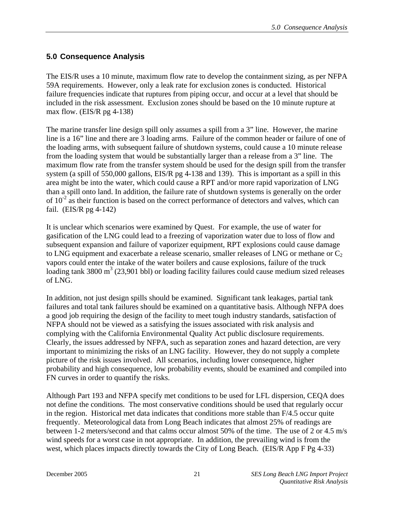#### **5.0 Consequence Analysis**

The EIS/R uses a 10 minute, maximum flow rate to develop the containment sizing, as per NFPA 59A requirements. However, only a leak rate for exclusion zones is conducted. Historical failure frequencies indicate that ruptures from piping occur, and occur at a level that should be included in the risk assessment. Exclusion zones should be based on the 10 minute rupture at max flow. (EIS/R pg 4-138)

The marine transfer line design spill only assumes a spill from a 3" line. However, the marine line is a 16" line and there are 3 loading arms. Failure of the common header or failure of one of the loading arms, with subsequent failure of shutdown systems, could cause a 10 minute release from the loading system that would be substantially larger than a release from a 3" line. The maximum flow rate from the transfer system should be used for the design spill from the transfer system (a spill of 550,000 gallons, EIS/R pg 4-138 and 139). This is important as a spill in this area might be into the water, which could cause a RPT and/or more rapid vaporization of LNG than a spill onto land. In addition, the failure rate of shutdown systems is generally on the order of  $10^{-2}$  as their function is based on the correct performance of detectors and valves, which can fail. (EIS/R pg 4-142)

It is unclear which scenarios were examined by Quest. For example, the use of water for gasification of the LNG could lead to a freezing of vaporization water due to loss of flow and subsequent expansion and failure of vaporizer equipment, RPT explosions could cause damage to LNG equipment and exacerbate a release scenario, smaller releases of LNG or methane or  $C_2$ vapors could enter the intake of the water boilers and cause explosions, failure of the truck loading tank  $3800 \text{ m}^3$  (23,901 bbl) or loading facility failures could cause medium sized releases of LNG.

In addition, not just design spills should be examined. Significant tank leakages, partial tank failures and total tank failures should be examined on a quantitative basis. Although NFPA does a good job requiring the design of the facility to meet tough industry standards, satisfaction of NFPA should not be viewed as a satisfying the issues associated with risk analysis and complying with the California Environmental Quality Act public disclosure requirements. Clearly, the issues addressed by NFPA, such as separation zones and hazard detection, are very important to minimizing the risks of an LNG facility. However, they do not supply a complete picture of the risk issues involved. All scenarios, including lower consequence, higher probability and high consequence, low probability events, should be examined and compiled into FN curves in order to quantify the risks.

Although Part 193 and NFPA specify met conditions to be used for LFL dispersion, CEQA does not define the conditions. The most conservative conditions should be used that regularly occur in the region. Historical met data indicates that conditions more stable than F/4.5 occur quite frequently. Meteorological data from Long Beach indicates that almost 25% of readings are between 1-2 meters/second and that calms occur almost 50% of the time. The use of 2 or 4.5 m/s wind speeds for a worst case in not appropriate. In addition, the prevailing wind is from the west, which places impacts directly towards the City of Long Beach. (EIS/R App F Pg 4-33)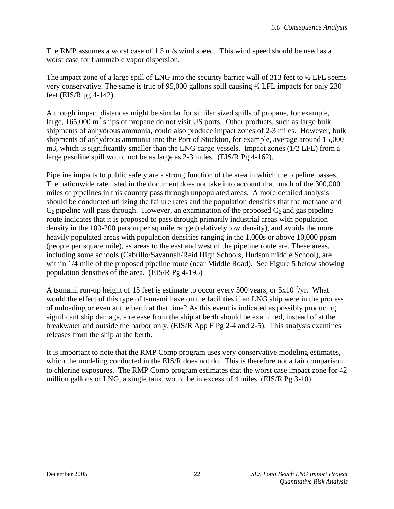The RMP assumes a worst case of 1.5 m/s wind speed. This wind speed should be used as a worst case for flammable vapor dispersion.

The impact zone of a large spill of LNG into the security barrier wall of 313 feet to  $\frac{1}{2}$  LFL seems very conservative. The same is true of 95,000 gallons spill causing ½ LFL impacts for only 230 feet (EIS/R pg 4-142).

Although impact distances might be similar for similar sized spills of propane, for example, large,  $165,000 \text{ m}^3$  ships of propane do not visit US ports. Other products, such as large bulk shipments of anhydrous ammonia, could also produce impact zones of 2-3 miles. However, bulk shipments of anhydrous ammonia into the Port of Stockton, for example, average around 15,000 m3, which is significantly smaller than the LNG cargo vessels. Impact zones (1/2 LFL) from a large gasoline spill would not be as large as 2-3 miles. (EIS/R Pg 4-162).

Pipeline impacts to public safety are a strong function of the area in which the pipeline passes. The nationwide rate listed in the document does not take into account that much of the 300,000 miles of pipelines in this country pass through unpopulated areas. A more detailed analysis should be conducted utilizing the failure rates and the population densities that the methane and  $C_2$  pipeline will pass through. However, an examination of the proposed  $C_2$  and gas pipeline route indicates that it is proposed to pass through primarily industrial areas with population density in the 100-200 person per sq mile range (relatively low density), and avoids the more heavily populated areas with population densities ranging in the 1,000s or above 10,000 ppsm (people per square mile), as areas to the east and west of the pipeline route are. These areas, including some schools (Cabrillo/Savannah/Reid High Schools, Hudson middle School), are within  $1/4$  mile of the proposed pipeline route (near Middle Road). See Figure 5 below showing population densities of the area. (EIS/R Pg 4-195)

A tsunami run-up height of 15 feet is estimate to occur every 500 years, or  $5x10^{-2}/yr$ . What would the effect of this type of tsunami have on the facilities if an LNG ship were in the process of unloading or even at the berth at that time? As this event is indicated as possibly producing significant ship damage, a release from the ship at berth should be examined, instead of at the breakwater and outside the harbor only. (EIS/R App F Pg 2-4 and 2-5). This analysis examines releases from the ship at the berth.

It is important to note that the RMP Comp program uses very conservative modeling estimates, which the modeling conducted in the EIS/R does not do. This is therefore not a fair comparison to chlorine exposures. The RMP Comp program estimates that the worst case impact zone for 42 million gallons of LNG, a single tank, would be in excess of 4 miles. (EIS/R Pg 3-10).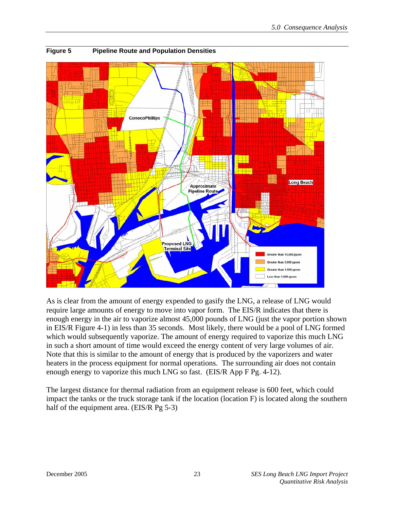

**Figure 5 Pipeline Route and Population Densities** 

As is clear from the amount of energy expended to gasify the LNG, a release of LNG would require large amounts of energy to move into vapor form. The EIS/R indicates that there is enough energy in the air to vaporize almost 45,000 pounds of LNG (just the vapor portion shown in EIS/R Figure 4-1) in less than 35 seconds. Most likely, there would be a pool of LNG formed which would subsequently vaporize. The amount of energy required to vaporize this much LNG in such a short amount of time would exceed the energy content of very large volumes of air. Note that this is similar to the amount of energy that is produced by the vaporizers and water heaters in the process equipment for normal operations. The surrounding air does not contain enough energy to vaporize this much LNG so fast. (EIS/R App F Pg. 4-12).

The largest distance for thermal radiation from an equipment release is 600 feet, which could impact the tanks or the truck storage tank if the location (location F) is located along the southern half of the equipment area. (EIS/R Pg 5-3)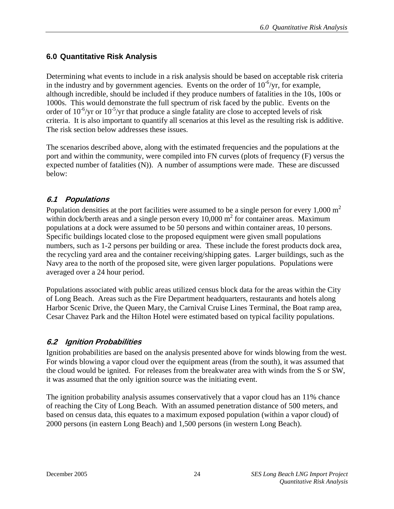## **6.0 Quantitative Risk Analysis**

Determining what events to include in a risk analysis should be based on acceptable risk criteria in the industry and by government agencies. Events on the order of  $10^{-6}/yr$ , for example, although incredible, should be included if they produce numbers of fatalities in the 10s, 100s or 1000s. This would demonstrate the full spectrum of risk faced by the public. Events on the order of  $10^{-6}/yr$  or  $10^{-5}/yr$  that produce a single fatality are close to accepted levels of risk criteria. It is also important to quantify all scenarios at this level as the resulting risk is additive. The risk section below addresses these issues.

The scenarios described above, along with the estimated frequencies and the populations at the port and within the community, were compiled into FN curves (plots of frequency (F) versus the expected number of fatalities (N)). A number of assumptions were made. These are discussed below:

## **6.1 Populations**

Population densities at the port facilities were assumed to be a single person for every  $1,000 \text{ m}^2$ within dock/berth areas and a single person every  $10,000 \text{ m}^2$  for container areas. Maximum populations at a dock were assumed to be 50 persons and within container areas, 10 persons. Specific buildings located close to the proposed equipment were given small populations numbers, such as 1-2 persons per building or area. These include the forest products dock area, the recycling yard area and the container receiving/shipping gates. Larger buildings, such as the Navy area to the north of the proposed site, were given larger populations. Populations were averaged over a 24 hour period.

Populations associated with public areas utilized census block data for the areas within the City of Long Beach. Areas such as the Fire Department headquarters, restaurants and hotels along Harbor Scenic Drive, the Queen Mary, the Carnival Cruise Lines Terminal, the Boat ramp area, Cesar Chavez Park and the Hilton Hotel were estimated based on typical facility populations.

## **6.2 Ignition Probabilities**

Ignition probabilities are based on the analysis presented above for winds blowing from the west. For winds blowing a vapor cloud over the equipment areas (from the south), it was assumed that the cloud would be ignited. For releases from the breakwater area with winds from the S or SW, it was assumed that the only ignition source was the initiating event.

The ignition probability analysis assumes conservatively that a vapor cloud has an 11% chance of reaching the City of Long Beach. With an assumed penetration distance of 500 meters, and based on census data, this equates to a maximum exposed population (within a vapor cloud) of 2000 persons (in eastern Long Beach) and 1,500 persons (in western Long Beach).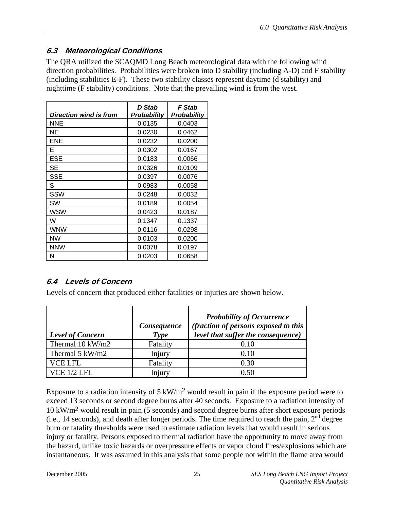## **6.3 Meteorological Conditions**

The QRA utilized the SCAQMD Long Beach meteorological data with the following wind direction probabilities. Probabilities were broken into D stability (including A-D) and F stability (including stabilities E-F). These two stability classes represent daytime (d stability) and nighttime (F stability) conditions. Note that the prevailing wind is from the west.

| Direction wind is from | <b>D</b> Stab<br><b>Probability</b> | <b>F</b> Stab<br><b>Probability</b> |
|------------------------|-------------------------------------|-------------------------------------|
| <b>NNE</b>             | 0.0135                              | 0.0403                              |
| ΝE                     | 0.0230                              | 0.0462                              |
| ENE                    | 0.0232                              | 0.0200                              |
| Е                      | 0.0302                              | 0.0167                              |
| ESE                    | 0.0183                              | 0.0066                              |
| SЕ                     | 0.0326                              | 0.0109                              |
| <b>SSE</b>             | 0.0397                              | 0.0076                              |
| S                      | 0.0983                              | 0.0058                              |
| SSW                    | 0.0248                              | 0.0032                              |
| SW                     | 0.0189                              | 0.0054                              |
| WSW                    | 0.0423                              | 0.0187                              |
| W                      | 0.1347                              | 0.1337                              |
| WNW                    | 0.0116                              | 0.0298                              |
| <b>NW</b>              | 0.0103                              | 0.0200                              |
| <b>NNW</b>             | 0.0078                              | 0.0197                              |
| N                      | 0.0203                              | 0.0658                              |

# **6.4 Levels of Concern**

Levels of concern that produced either fatalities or injuries are shown below.

| <b>Level of Concern</b> | Consequence<br>Type | <b>Probability of Occurrence</b><br>(fraction of persons exposed to this<br>level that suffer the consequence) |
|-------------------------|---------------------|----------------------------------------------------------------------------------------------------------------|
| Thermal 10 kW/m2        | Fatality            | 0.10                                                                                                           |
| Thermal 5 kW/m2         | Injury              | 0.10                                                                                                           |
| <b>VCE LFL</b>          | Fatality            | 0.30                                                                                                           |
| VCE 1/2 LEL             |                     | 0.50                                                                                                           |

Exposure to a radiation intensity of 5 kW/m2 would result in pain if the exposure period were to exceed 13 seconds or second degree burns after 40 seconds. Exposure to a radiation intensity of 10 kW/m2 would result in pain (5 seconds) and second degree burns after short exposure periods (i.e., 14 seconds), and death after longer periods. The time required to reach the pain,  $2<sup>nd</sup>$  degree burn or fatality thresholds were used to estimate radiation levels that would result in serious injury or fatality. Persons exposed to thermal radiation have the opportunity to move away from the hazard, unlike toxic hazards or overpressure effects or vapor cloud fires/explosions which are instantaneous. It was assumed in this analysis that some people not within the flame area would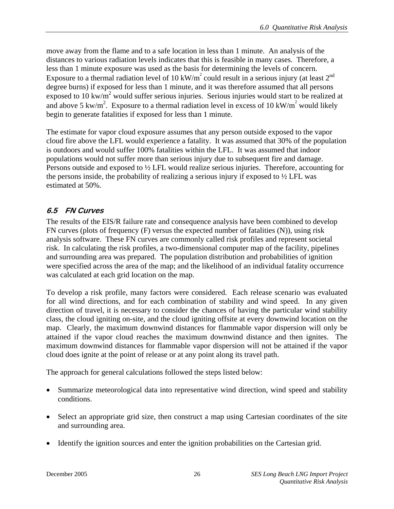move away from the flame and to a safe location in less than 1 minute. An analysis of the distances to various radiation levels indicates that this is feasible in many cases. Therefore, a less than 1 minute exposure was used as the basis for determining the levels of concern. Exposure to a thermal radiation level of 10 kW/m<sup>2</sup> could result in a serious injury (at least  $2^{nd}$ degree burns) if exposed for less than 1 minute, and it was therefore assumed that all persons exposed to 10 kw/ $\mathbf{m}^2$  would suffer serious injuries. Serious injuries would start to be realized at and above 5 kw/m<sup>2</sup>. Exposure to a thermal radiation level in excess of 10 kW/m<sup>2</sup> would likely begin to generate fatalities if exposed for less than 1 minute.

The estimate for vapor cloud exposure assumes that any person outside exposed to the vapor cloud fire above the LFL would experience a fatality. It was assumed that 30% of the population is outdoors and would suffer 100% fatalities within the LFL. It was assumed that indoor populations would not suffer more than serious injury due to subsequent fire and damage. Persons outside and exposed to ½ LFL would realize serious injuries. Therefore, accounting for the persons inside, the probability of realizing a serious injury if exposed to  $\frac{1}{2}$  LFL was estimated at 50%.

#### **6.5 FN Curves**

The results of the EIS/R failure rate and consequence analysis have been combined to develop FN curves (plots of frequency (F) versus the expected number of fatalities (N)), using risk analysis software. These FN curves are commonly called risk profiles and represent societal risk. In calculating the risk profiles, a two-dimensional computer map of the facility, pipelines and surrounding area was prepared. The population distribution and probabilities of ignition were specified across the area of the map; and the likelihood of an individual fatality occurrence was calculated at each grid location on the map.

To develop a risk profile, many factors were considered. Each release scenario was evaluated for all wind directions, and for each combination of stability and wind speed. In any given direction of travel, it is necessary to consider the chances of having the particular wind stability class, the cloud igniting on-site, and the cloud igniting offsite at every downwind location on the map. Clearly, the maximum downwind distances for flammable vapor dispersion will only be attained if the vapor cloud reaches the maximum downwind distance and then ignites. The maximum downwind distances for flammable vapor dispersion will not be attained if the vapor cloud does ignite at the point of release or at any point along its travel path.

The approach for general calculations followed the steps listed below:

- Summarize meteorological data into representative wind direction, wind speed and stability conditions.
- Select an appropriate grid size, then construct a map using Cartesian coordinates of the site and surrounding area.
- Identify the ignition sources and enter the ignition probabilities on the Cartesian grid.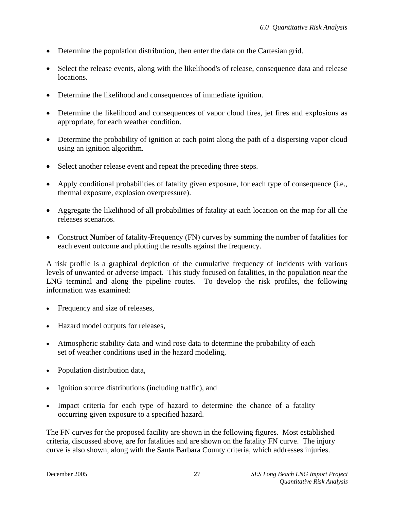- Determine the population distribution, then enter the data on the Cartesian grid.
- Select the release events, along with the likelihood's of release, consequence data and release locations.
- Determine the likelihood and consequences of immediate ignition.
- Determine the likelihood and consequences of vapor cloud fires, jet fires and explosions as appropriate, for each weather condition.
- Determine the probability of ignition at each point along the path of a dispersing vapor cloud using an ignition algorithm.
- Select another release event and repeat the preceding three steps.
- Apply conditional probabilities of fatality given exposure, for each type of consequence (i.e., thermal exposure, explosion overpressure).
- Aggregate the likelihood of all probabilities of fatality at each location on the map for all the releases scenarios.
- Construct **N**umber of fatality-**F**requency (FN) curves by summing the number of fatalities for each event outcome and plotting the results against the frequency.

A risk profile is a graphical depiction of the cumulative frequency of incidents with various levels of unwanted or adverse impact. This study focused on fatalities, in the population near the LNG terminal and along the pipeline routes. To develop the risk profiles, the following information was examined:

- Frequency and size of releases,
- Hazard model outputs for releases,
- Atmospheric stability data and wind rose data to determine the probability of each set of weather conditions used in the hazard modeling,
- Population distribution data,
- Ignition source distributions (including traffic), and
- Impact criteria for each type of hazard to determine the chance of a fatality occurring given exposure to a specified hazard.

The FN curves for the proposed facility are shown in the following figures. Most established criteria, discussed above, are for fatalities and are shown on the fatality FN curve. The injury curve is also shown, along with the Santa Barbara County criteria, which addresses injuries.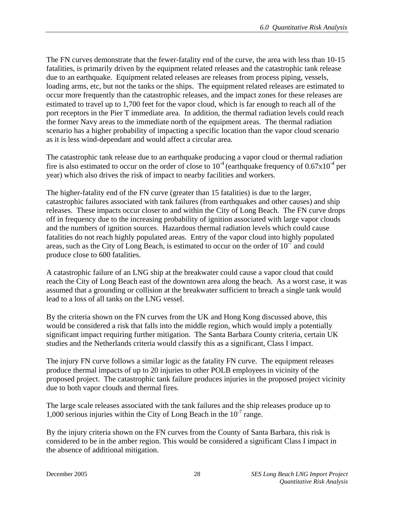The FN curves demonstrate that the fewer-fatality end of the curve, the area with less than 10-15 fatalities, is primarily driven by the equipment related releases and the catastrophic tank release due to an earthquake. Equipment related releases are releases from process piping, vessels, loading arms, etc, but not the tanks or the ships. The equipment related releases are estimated to occur more frequently than the catastrophic releases, and the impact zones for these releases are estimated to travel up to 1,700 feet for the vapor cloud, which is far enough to reach all of the port receptors in the Pier T immediate area. In addition, the thermal radiation levels could reach the former Navy areas to the immediate north of the equipment areas. The thermal radiation scenario has a higher probability of impacting a specific location than the vapor cloud scenario as it is less wind-dependant and would affect a circular area.

The catastrophic tank release due to an earthquake producing a vapor cloud or thermal radiation fire is also estimated to occur on the order of close to  $10^{-4}$  (earthquake frequency of  $0.67 \times 10^{-4}$  per year) which also drives the risk of impact to nearby facilities and workers.

The higher-fatality end of the FN curve (greater than 15 fatalities) is due to the larger, catastrophic failures associated with tank failures (from earthquakes and other causes) and ship releases. These impacts occur closer to and within the City of Long Beach. The FN curve drops off in frequency due to the increasing probability of ignition associated with large vapor clouds and the numbers of ignition sources. Hazardous thermal radiation levels which could cause fatalities do not reach highly populated areas. Entry of the vapor cloud into highly populated areas, such as the City of Long Beach, is estimated to occur on the order of  $10^{-7}$  and could produce close to 600 fatalities.

A catastrophic failure of an LNG ship at the breakwater could cause a vapor cloud that could reach the City of Long Beach east of the downtown area along the beach. As a worst case, it was assumed that a grounding or collision at the breakwater sufficient to breach a single tank would lead to a loss of all tanks on the LNG vessel.

By the criteria shown on the FN curves from the UK and Hong Kong discussed above, this would be considered a risk that falls into the middle region, which would imply a potentially significant impact requiring further mitigation. The Santa Barbara County criteria, certain UK studies and the Netherlands criteria would classify this as a significant, Class I impact.

The injury FN curve follows a similar logic as the fatality FN curve. The equipment releases produce thermal impacts of up to 20 injuries to other POLB employees in vicinity of the proposed project. The catastrophic tank failure produces injuries in the proposed project vicinity due to both vapor clouds and thermal fires.

The large scale releases associated with the tank failures and the ship releases produce up to 1,000 serious injuries within the City of Long Beach in the  $10^{-7}$  range.

By the injury criteria shown on the FN curves from the County of Santa Barbara, this risk is considered to be in the amber region. This would be considered a significant Class I impact in the absence of additional mitigation.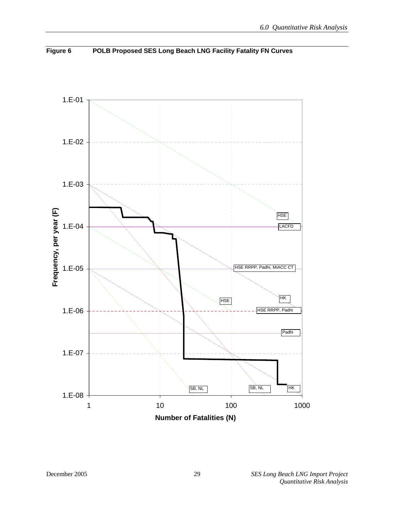

**Figure 6 POLB Proposed SES Long Beach LNG Facility Fatality FN Curves**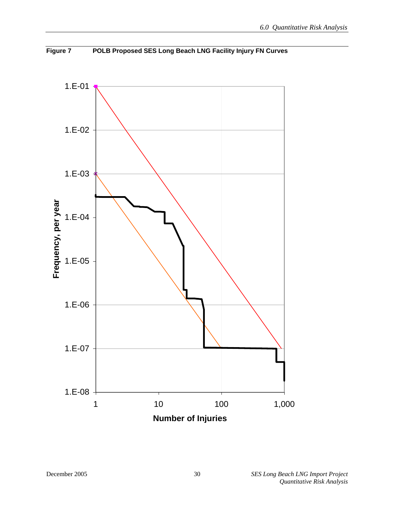

**Figure 7 POLB Proposed SES Long Beach LNG Facility Injury FN Curves**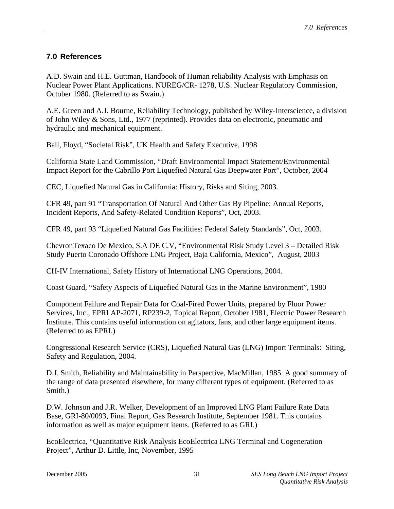#### **7.0 References**

A.D. Swain and H.E. Guttman, Handbook of Human reliability Analysis with Emphasis on Nuclear Power Plant Applications. NUREG/CR- 1278, U.S. Nuclear Regulatory Commission, October 1980. (Referred to as Swain.)

A.E. Green and A.J. Bourne, Reliability Technology, published by Wiley-Interscience, a division of John Wiley & Sons, Ltd., 1977 (reprinted). Provides data on electronic, pneumatic and hydraulic and mechanical equipment.

Ball, Floyd, "Societal Risk", UK Health and Safety Executive, 1998

California State Land Commission, "Draft Environmental Impact Statement/Environmental Impact Report for the Cabrillo Port Liquefied Natural Gas Deepwater Port", October, 2004

CEC, Liquefied Natural Gas in California: History, Risks and Siting, 2003.

CFR 49, part 91 "Transportation Of Natural And Other Gas By Pipeline; Annual Reports, Incident Reports, And Safety-Related Condition Reports", Oct, 2003.

CFR 49, part 93 "Liquefied Natural Gas Facilities: Federal Safety Standards", Oct, 2003.

ChevronTexaco De Mexico, S.A DE C.V, "Environmental Risk Study Level 3 – Detailed Risk Study Puerto Coronado Offshore LNG Project, Baja California, Mexico", August, 2003

CH-IV International, Safety History of International LNG Operations, 2004.

Coast Guard, "Safety Aspects of Liquefied Natural Gas in the Marine Environment", 1980

Component Failure and Repair Data for Coal-Fired Power Units, prepared by Fluor Power Services, Inc., EPRI AP-2071, RP239-2, Topical Report, October 1981, Electric Power Research Institute. This contains useful information on agitators, fans, and other large equipment items. (Referred to as EPRI.)

Congressional Research Service (CRS), Liquefied Natural Gas (LNG) Import Terminals: Siting, Safety and Regulation, 2004.

D.J. Smith, Reliability and Maintainability in Perspective, MacMillan, 1985. A good summary of the range of data presented elsewhere, for many different types of equipment. (Referred to as Smith.)

D.W. Johnson and J.R. Welker, Development of an Improved LNG Plant Failure Rate Data Base, GRI-80/0093, Final Report, Gas Research Institute, September 1981. This contains information as well as major equipment items. (Referred to as GRI.)

EcoElectrica, "Quantitative Risk Analysis EcoElectrica LNG Terminal and Cogeneration Project", Arthur D. Little, Inc, November, 1995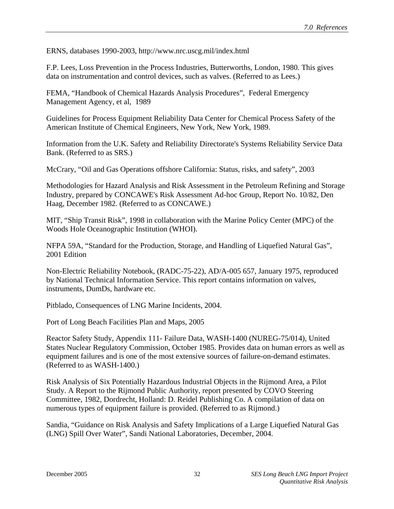ERNS, databases 1990-2003, http://www.nrc.uscg.mil/index.html

F.P. Lees, Loss Prevention in the Process Industries, Butterworths, London, 1980. This gives data on instrumentation and control devices, such as valves. (Referred to as Lees.)

FEMA, "Handbook of Chemical Hazards Analysis Procedures", Federal Emergency Management Agency, et al, 1989

Guidelines for Process Equipment Reliability Data Center for Chemical Process Safety of the American Institute of Chemical Engineers, New York, New York, 1989.

Information from the U.K. Safety and Reliability Directorate's Systems Reliability Service Data Bank. (Referred to as SRS.)

McCrary, "Oil and Gas Operations offshore California: Status, risks, and safety", 2003

Methodologies for Hazard Analysis and Risk Assessment in the Petroleum Refining and Storage Industry, prepared by CONCAWE's Risk Assessment Ad-hoc Group, Report No. 10/82, Den Haag, December 1982. (Referred to as CONCAWE.)

MIT, "Ship Transit Risk", 1998 in collaboration with the Marine Policy Center (MPC) of the Woods Hole Oceanographic Institution (WHOI).

NFPA 59A, "Standard for the Production, Storage, and Handling of Liquefied Natural Gas", 2001 Edition

Non-Electric Reliability Notebook, (RADC-75-22), AD/A-005 657, January 1975, reproduced by National Technical Information Service. This report contains information on valves, instruments, DumDs, hardware etc.

Pitblado, Consequences of LNG Marine Incidents, 2004.

Port of Long Beach Facilities Plan and Maps, 2005

Reactor Safety Study, Appendix 111- Failure Data, WASH-1400 (NUREG-75/014), United States Nuclear Regulatory Commission, October 1985. Provides data on human errors as well as equipment failures and is one of the most extensive sources of failure-on-demand estimates. (Referred to as WASH-1400.)

Risk Analysis of Six Potentially Hazardous Industrial Objects in the Rijmond Area, a Pilot Study. A Report to the Rijmond Public Authority, report presented by COVO Steering Committee, 1982, Dordrecht, Holland: D. Reidel Publishing Co. A compilation of data on numerous types of equipment failure is provided. (Referred to as Rijmond.)

Sandia, "Guidance on Risk Analysis and Safety Implications of a Large Liquefied Natural Gas (LNG) Spill Over Water", Sandi National Laboratories, December, 2004.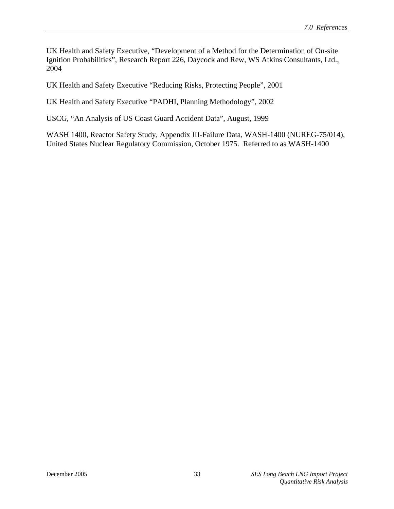UK Health and Safety Executive, "Development of a Method for the Determination of On-site Ignition Probabilities", Research Report 226, Daycock and Rew, WS Atkins Consultants, Ltd., 2004

UK Health and Safety Executive "Reducing Risks, Protecting People", 2001

UK Health and Safety Executive "PADHI, Planning Methodology", 2002

USCG, "An Analysis of US Coast Guard Accident Data", August, 1999

WASH 1400, Reactor Safety Study, Appendix III-Failure Data, WASH-1400 (NUREG-75/014), United States Nuclear Regulatory Commission, October 1975. Referred to as WASH-1400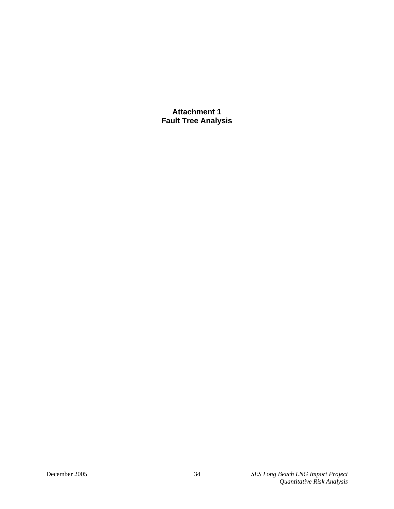**Attachment 1 Fault Tree Analysis**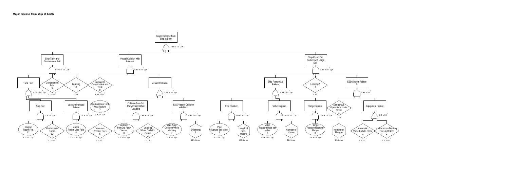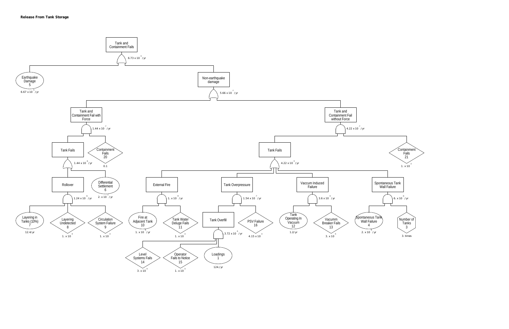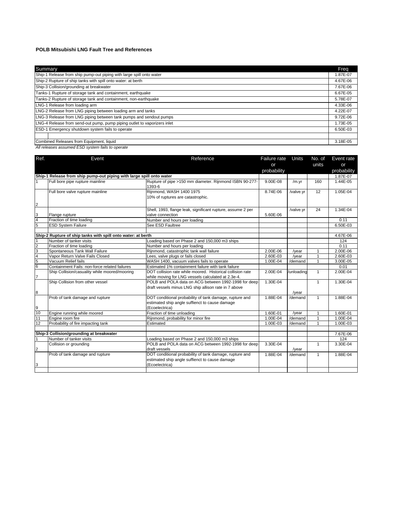#### **POLB Mitsubishi LNG Fault Tree and References**

| Summary                                                                  | Freq     |
|--------------------------------------------------------------------------|----------|
| Ship-1 Release from ship pump-out piping with large spill onto water     | 1.87E-07 |
| Ship-2 Rupture of ship tanks with spill onto water: at berth             | 4.67E-06 |
| Ship-3 Collision/grounding at breakwater                                 | 7.67E-06 |
| Tanks-1 Rupture of storage tank and containment, earthquake              | 6.67E-05 |
| Tanks-2 Rupture of storage tank and containment, non-earthquake          | 5.78E-07 |
| LNG-1 Release from loading arm                                           | 4.33E-06 |
| LNG-2 Release from LNG piping between loading arm and tanks              | 4.22E-07 |
| LNG-3 Release from LNG piping between tank pumps and sendout pumps       | 9.72E-06 |
| LNG-4 Release from send-out pump, pump piping outlet to vaporizers inlet | 1.73E-05 |
| ESD-1 Emergency shutdown system fails to operate                         | 6.50E-03 |
|                                                                          |          |
| Combined Releases from Equipment, liquid                                 | 3.18E-05 |

*All releases assumed ESD system fails to operate*

| Ref.                                          | Event                                                                        | Reference                                                   | Failure rate | Units      | No. of       | Event rate  |
|-----------------------------------------------|------------------------------------------------------------------------------|-------------------------------------------------------------|--------------|------------|--------------|-------------|
|                                               |                                                                              |                                                             | or           |            | units        | or          |
|                                               |                                                                              |                                                             | probability  |            |              | probability |
|                                               | Ship-1 Release from ship pump-out piping with large spill onto water         |                                                             |              |            |              | 1.87E-07    |
|                                               | Full bore pipe rupture mainline                                              | Rupture of pipe >150 mm diameter. Rijnmond ISBN 90-277-     | 9.00E-08     | /m.yr      | 160          | 1.44E-05    |
|                                               |                                                                              | 1393-6                                                      |              |            |              |             |
|                                               | Full bore valve rupture mainline                                             | Rijnmond, WASH 1400 1975                                    | 8.74E-06     | /valve.yr  | 12           | 1.05E-04    |
|                                               |                                                                              | 10% of ruptures are catastrophic.                           |              |            |              |             |
| $\overline{a}$                                |                                                                              |                                                             |              |            |              |             |
|                                               |                                                                              | Shell, 1993, flange leak, significant rupture, assume 2 per |              | /valve.yr  | 24           | 1.34E-04    |
|                                               | Flange rupture                                                               | valve connection                                            | 5.60E-06     |            |              |             |
| $\frac{3}{5}$                                 | Fraction of time loading                                                     | Number and hours per loading                                |              |            |              | 0.11        |
|                                               | <b>ESD System Failure</b>                                                    | See ESD Faultree                                            |              |            |              | 6.50E-03    |
|                                               |                                                                              |                                                             |              |            |              |             |
|                                               | Ship-2 Rupture of ship tanks with spill onto water: at berth                 |                                                             |              |            |              | 4.67E-06    |
|                                               | Number of tanker visits                                                      | Loading based on Phase 2 and 150,000 m3 ships               |              |            |              | 124         |
|                                               | Fraction of time loading                                                     | Number and hours per loading                                |              |            |              | 0.11        |
|                                               | Spontaneous Tank Wall Failure                                                | Rijnmond, catastrophic tank wall failure                    | 2.00E-06     | /year      | 1            | 2.00E-06    |
|                                               | Vapor Return Valve Fails Closed                                              | Lees, valve plugs or fails closed                           | 2.60E-03     | /year      | $\mathbf{1}$ | 2.60E-03    |
|                                               | Vacuum Relief fails                                                          | WASH 1400, vacuum valves fails to operate                   | 1.00E-04     | /demand    | 1            | 3.00E-05    |
| $\frac{1}{2}$ o $\frac{1}{2}$ o $\frac{1}{2}$ | Containment Fails: non-force related failures                                | Estimated 1% containment failure with tank failure          |              |            |              | 0.01        |
|                                               | Ship Collision/casuality while moored/mooring                                | DOT collision rate while moored. Historical collision rate  | 2.00E-04     | /unloading | $\mathbf{1}$ | 2.00E-04    |
| $\overline{7}$                                |                                                                              | while moving for LNG vessels calculated at 2.3e-4.          |              |            |              |             |
|                                               | Ship Collision from other vessel                                             | POLB and POLA data on ACG between 1992-1998 for deep        | 1.30E-04     |            | 1            | 1.30E-04    |
|                                               |                                                                              | draft vessels minus LNG ship allison rate in 7 above        |              |            |              |             |
| $\bf8$                                        |                                                                              |                                                             |              | /year      |              |             |
|                                               | Prob of tank damage and rupture                                              | DOT conditional probability of tank damage, rupture and     | 1.88E-04     | /demand    | $\mathbf{1}$ | 1.88E-04    |
|                                               |                                                                              | estimated ship angle suffienct to cause damage              |              |            |              |             |
|                                               |                                                                              | (Ecoelectrica)                                              |              |            |              |             |
| $\frac{9}{10}$                                | Engine running while moored                                                  | Fraction of time unloading                                  | 1.60E-01     | /year      | $\mathbf{1}$ | 1.60E-01    |
| 11                                            | Engine room fire                                                             | Rijnmond, probability for minor fire                        | 1.00E-04     | /demand    | 1            | 1.00E-04    |
| 12                                            | Probability of fire impacting tank                                           | Estimated                                                   | 1.00E-03     | /demand    | 1            | 1.00E-03    |
|                                               |                                                                              |                                                             |              |            |              |             |
|                                               | <b>Ship-3 Collision/grounding at breakwater</b><br>1 Number of tanker visits |                                                             |              |            |              | 7.67E-06    |
|                                               | Number of tanker visits                                                      | Loading based on Phase 2 and 150,000 m3 ships               |              |            |              | 124         |
|                                               | Collision or grounding                                                       | POLB and POLA data on ACG between 1992-1998 for deep        | 3.30E-04     |            | $\mathbf{1}$ | 3.30E-04    |
| $\overline{2}$                                |                                                                              | draft vessels                                               |              | /year      |              |             |
|                                               | Prob of tank damage and rupture                                              | DOT conditional probability of tank damage, rupture and     | 1.88E-04     | /demand    | $\mathbf{1}$ | 1.88E-04    |
|                                               |                                                                              | estimated ship angle suffienct to cause damage              |              |            |              |             |
| $\mathbf{3}$                                  |                                                                              | (Ecoelectrica)                                              |              |            |              |             |
|                                               |                                                                              |                                                             |              |            |              |             |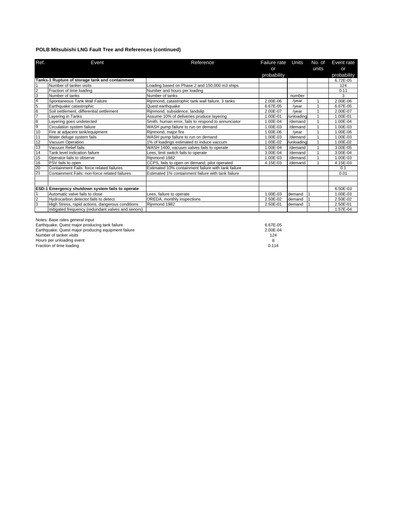#### **POLB Mitsubishi LNG Fault Tree and References (continued)**

| Ref.            | Event                                             | Reference                                           | Failure rate | Units      | No. of | Event rate  |
|-----------------|---------------------------------------------------|-----------------------------------------------------|--------------|------------|--------|-------------|
|                 |                                                   |                                                     | or           |            | units  | or          |
|                 |                                                   |                                                     | probability  |            |        | probability |
|                 | Tanks-1 Rupture of storage tank and containment   |                                                     |              |            |        | 6.72E-05    |
|                 | Number of tanker visits                           | -oading based on Phase 2 and 150,000 m3 ships       |              |            |        | 124         |
| $\overline{2}$  | Fraction of time loading                          | Number and hours per loading                        |              |            |        | 0.11        |
| 3               | Number of tanks                                   | Number of tanks                                     |              | number     |        | 3           |
| $\frac{4}{5}$   | Spontaneous Tank Wall Failure                     | Rijnmond, catastrophic tank wall failure, 3 tanks   | 2.00E-06     | /year      |        | 2.00E-06    |
|                 | Earthquake catastrophic                           | Quest earthquake                                    | 6.67E-05     | /year      |        | 6.67E-05    |
| $\frac{6}{7}$   | Soil settlement, differential settlement          | Rijnmond, subsidence, landslip                      | 2.00E-07     | /year      |        | 2.00E-07    |
|                 | Lavering in Tanks                                 | Assume 10% of deliveries produce layering           | 1.00E-01     | /unloading |        | 1.00E-01    |
| ဆကြ             | Layering goes undetected                          | Smith, human error, fails to respond to annunciator | 1.00E-04     | /demand    |        | 1.00E-04    |
|                 | Circulation system failure                        | WASH pump failure to run on demand                  | 1.00E-03     | /demand    |        | 1.00E-03    |
| 10              | Fire at adjacent tank/equipment                   | Rijnmond, major fire                                | 1.00E-06     | /year      |        | 1.00E-06    |
| 11              | Water deluge system fails                         | WASH pump failure to run on demand                  | 1.00E-03     | /demand    |        | 1.00E-03    |
| 12              | Vacuum Operation                                  | 1% of loadings estimated to induce vaccum           | $.00E-02$    | /unloading |        | 1.00E-02    |
| 13              | Vacuum Relief fails                               | WASH 1400, vacuum valves fails to operate           | 1.00E-04     | /demand    |        | 3.00E-05    |
| 14              | Tank level indication failure                     | Lees, limit switch fails to operate                 | 3.00E-04     | /demand    |        | 3.00E-04    |
| 15              | Operator fails to observe                         | Riinmond 1982                                       | 1.00E-03     | /demand    |        | 1.00E-03    |
| 16              | PSV fails to open                                 | CCPS, fails to open on demand, pilot operated       | 4.15E-03     | /demand    |        | 4.15E-03    |
| $\frac{20}{21}$ | Containment Fails: force related failures         | Estimated 10% containment failure with tank failure |              |            |        | 0.1         |
|                 | Containment Fails: non-force related failures     | Estimated 1% containment failure with tank failure  |              |            |        | 0.01        |
|                 |                                                   |                                                     |              |            |        |             |
|                 |                                                   |                                                     |              |            |        |             |
|                 | ESD-1 Emergency shutdown system fails to operate  |                                                     |              |            |        | 6.50E-03    |
|                 | Automatic valve fails to close                    | Lees, failure to operate                            | 1.00E-03     | demand     |        | 1.00E-03    |
| $\overline{2}$  | Hydrocarbon detector fails to detect              | OREDA, monthly inspections                          | 2.50E-02     | demand     |        | 2.50E-02    |
| 3               | High Stress, rapid actions, dangerous conditions  | Rijnmond 1982                                       | 2.50E-01     | demand     |        | 2.50E-01    |
|                 | mitigated frequency (redundant valves and senors) |                                                     |              |            |        | 1.57E-04    |

Notes: Base rates general input

| Earthquake, Quest major producing tank failure      | 6.67E-05     |
|-----------------------------------------------------|--------------|
| Earthquake, Quest major producing equipment failure | $2.00E - 04$ |
| Number of tanker visits                             | 124          |
| Hours per unloading event                           |              |
| Fraction of time loading                            | 0.114        |
|                                                     |              |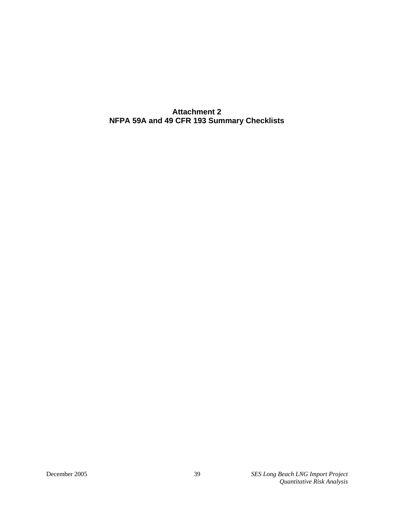**Attachment 2 NFPA 59A and 49 CFR 193 Summary Checklists**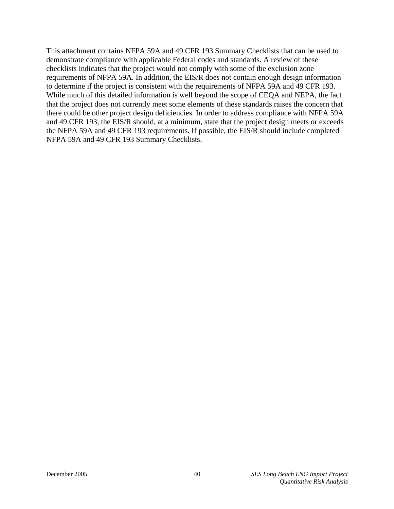This attachment contains NFPA 59A and 49 CFR 193 Summary Checklists that can be used to demonstrate compliance with applicable Federal codes and standards. A review of these checklists indicates that the project would not comply with some of the exclusion zone requirements of NFPA 59A. In addition, the EIS/R does not contain enough design information to determine if the project is consistent with the requirements of NFPA 59A and 49 CFR 193. While much of this detailed information is well beyond the scope of CEQA and NEPA, the fact that the project does not currently meet some elements of these standards raises the concern that there could be other project design deficiencies. In order to address compliance with NFPA 59A and 49 CFR 193, the EIS/R should, at a minimum, state that the project design meets or exceeds the NFPA 59A and 49 CFR 193 requirements. If possible, the EIS/R should include completed NFPA 59A and 49 CFR 193 Summary Checklists.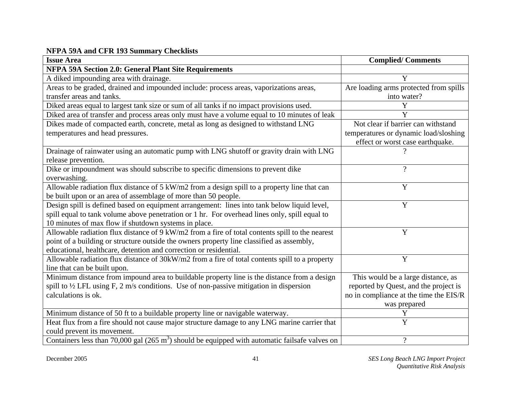#### **NFPA 59A and CFR 193 Summary Checklists**

| <b>Issue Area</b>                                                                                         | <b>Complied/Comments</b>               |
|-----------------------------------------------------------------------------------------------------------|----------------------------------------|
| <b>NFPA 59A Section 2.0: General Plant Site Requirements</b>                                              |                                        |
| A diked impounding area with drainage.                                                                    | Y                                      |
| Areas to be graded, drained and impounded include: process areas, vaporizations areas,                    | Are loading arms protected from spills |
| transfer areas and tanks.                                                                                 | into water?                            |
| Diked areas equal to largest tank size or sum of all tanks if no impact provisions used.                  | Y                                      |
| Diked area of transfer and process areas only must have a volume equal to 10 minutes of leak              | Y                                      |
| Dikes made of compacted earth, concrete, metal as long as designed to withstand LNG                       | Not clear if barrier can withstand     |
| temperatures and head pressures.                                                                          | temperatures or dynamic load/sloshing  |
|                                                                                                           | effect or worst case earthquake.       |
| Drainage of rainwater using an automatic pump with LNG shutoff or gravity drain with LNG                  |                                        |
| release prevention.                                                                                       |                                        |
| Dike or impoundment was should subscribe to specific dimensions to prevent dike                           | $\gamma$                               |
| overwashing.                                                                                              |                                        |
| Allowable radiation flux distance of 5 kW/m2 from a design spill to a property line that can              | Y                                      |
| be built upon or an area of assemblage of more than 50 people.                                            |                                        |
| Design spill is defined based on equipment arrangement: lines into tank below liquid level,               | Y                                      |
| spill equal to tank volume above penetration or 1 hr. For overhead lines only, spill equal to             |                                        |
| 10 minutes of max flow if shutdown systems in place.                                                      |                                        |
| Allowable radiation flux distance of 9 kW/m2 from a fire of total contents spill to the nearest           | Y                                      |
| point of a building or structure outside the owners property line classified as assembly,                 |                                        |
| educational, healthcare, detention and correction or residential.                                         |                                        |
| Allowable radiation flux distance of 30kW/m2 from a fire of total contents spill to a property            | Y                                      |
| line that can be built upon.                                                                              |                                        |
| Minimum distance from impound area to buildable property line is the distance from a design               | This would be a large distance, as     |
| spill to $\frac{1}{2}$ LFL using F, 2 m/s conditions. Use of non-passive mitigation in dispersion         | reported by Quest, and the project is  |
| calculations is ok.                                                                                       | no in compliance at the time the EIS/R |
|                                                                                                           | was prepared                           |
| Minimum distance of 50 ft to a buildable property line or navigable waterway.                             | Y                                      |
| Heat flux from a fire should not cause major structure damage to any LNG marine carrier that              | Y                                      |
| could prevent its movement.                                                                               |                                        |
| Containers less than 70,000 gal $(265 \text{ m}^3)$ should be equipped with automatic fails afe valves on | $\overline{?}$                         |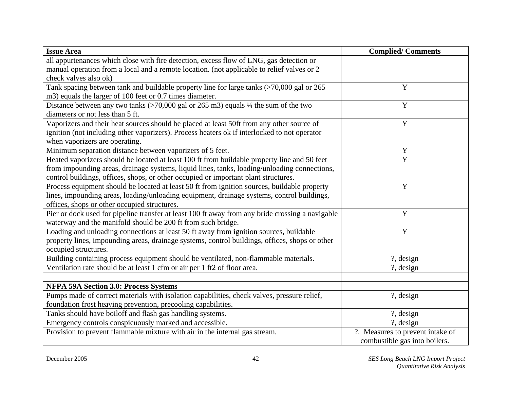| <b>Issue Area</b>                                                                                 | <b>Complied/Comments</b>         |
|---------------------------------------------------------------------------------------------------|----------------------------------|
| all appurtenances which close with fire detection, excess flow of LNG, gas detection or           |                                  |
| manual operation from a local and a remote location. (not applicable to relief valves or 2        |                                  |
| check valves also ok)                                                                             |                                  |
| Tank spacing between tank and buildable property line for large tanks (>70,000 gal or 265         | Y                                |
| m3) equals the larger of 100 feet or 0.7 times diameter.                                          |                                  |
| Distance between any two tanks $($ >70,000 gal or 265 m3) equals $\frac{1}{4}$ the sum of the two | Y                                |
| diameters or not less than 5 ft.                                                                  |                                  |
| Vaporizers and their heat sources should be placed at least 50ft from any other source of         | Y                                |
| ignition (not including other vaporizers). Process heaters ok if interlocked to not operator      |                                  |
| when vaporizers are operating.                                                                    |                                  |
| Minimum separation distance between vaporizers of 5 feet.                                         | Y                                |
| Heated vaporizers should be located at least 100 ft from buildable property line and 50 feet      | $\overline{Y}$                   |
| from impounding areas, drainage systems, liquid lines, tanks, loading/unloading connections,      |                                  |
| control buildings, offices, shops, or other occupied or important plant structures.               |                                  |
| Process equipment should be located at least 50 ft from ignition sources, buildable property      | $\mathbf Y$                      |
| lines, impounding areas, loading/unloading equipment, drainage systems, control buildings,        |                                  |
| offices, shops or other occupied structures.                                                      |                                  |
| Pier or dock used for pipeline transfer at least 100 ft away from any bride crossing a navigable  | Y                                |
| waterway and the manifold should be 200 ft from such bridge.                                      |                                  |
| Loading and unloading connections at least 50 ft away from ignition sources, buildable            | $\mathbf Y$                      |
| property lines, impounding areas, drainage systems, control buildings, offices, shops or other    |                                  |
| occupied structures.                                                                              |                                  |
| Building containing process equipment should be ventilated, non-flammable materials.              | ?, design                        |
| Ventilation rate should be at least 1 cfm or air per 1 ft2 of floor area.                         | ?, design                        |
|                                                                                                   |                                  |
| <b>NFPA 59A Section 3.0: Process Systems</b>                                                      |                                  |
| Pumps made of correct materials with isolation capabilities, check valves, pressure relief,       | ?, design                        |
| foundation frost heaving prevention, precooling capabilities.                                     |                                  |
| Tanks should have boiloff and flash gas handling systems.                                         | ?, design                        |
| Emergency controls conspicuously marked and accessible.                                           | ?, design                        |
| Provision to prevent flammable mixture with air in the internal gas stream.                       | ?. Measures to prevent intake of |
|                                                                                                   | combustible gas into boilers.    |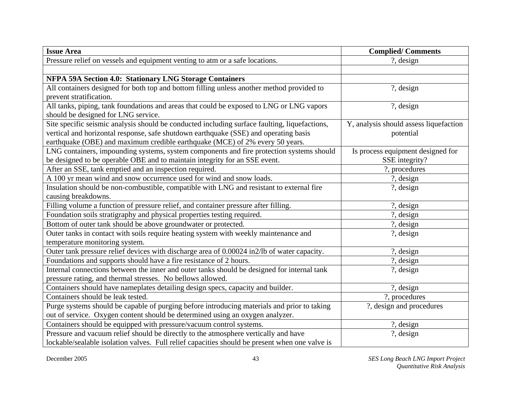| <b>Issue Area</b>                                                                              | <b>Complied/Comments</b>               |
|------------------------------------------------------------------------------------------------|----------------------------------------|
| Pressure relief on vessels and equipment venting to atm or a safe locations.                   | $\frac{?}{.}$ design                   |
|                                                                                                |                                        |
| NFPA 59A Section 4.0: Stationary LNG Storage Containers                                        |                                        |
| All containers designed for both top and bottom filling unless another method provided to      | ?, design                              |
| prevent stratification.                                                                        |                                        |
| All tanks, piping, tank foundations and areas that could be exposed to LNG or LNG vapors       | ?, design                              |
| should be designed for LNG service.                                                            |                                        |
| Site specific seismic analysis should be conducted including surface faulting, liquefactions,  | Y, analysis should assess liquefaction |
| vertical and horizontal response, safe shutdown earthquake (SSE) and operating basis           | potential                              |
| earthquake (OBE) and maximum credible earthquake (MCE) of 2% every 50 years.                   |                                        |
| LNG containers, impounding systems, system components and fire protection systems should       | Is process equipment designed for      |
| be designed to be operable OBE and to maintain integrity for an SSE event.                     | SSE integrity?                         |
| After an SSE, tank emptied and an inspection required.                                         | ?, procedures                          |
| A 100 yr mean wind and snow occurrence used for wind and snow loads.                           | ?, design                              |
| Insulation should be non-combustible, compatible with LNG and resistant to external fire       | $?$ , design                           |
| causing breakdowns.                                                                            |                                        |
| Filling volume a function of pressure relief, and container pressure after filling.            | ?, design                              |
| Foundation soils stratigraphy and physical properties testing required.                        | $?$ , design                           |
| Bottom of outer tank should be above groundwater or protected.                                 | $?$ , design                           |
| Outer tanks in contact with soils require heating system with weekly maintenance and           | $?$ , design                           |
| temperature monitoring system.                                                                 |                                        |
| Outer tank pressure relief devices with discharge area of 0.00024 in2/lb of water capacity.    | $?$ , design                           |
| Foundations and supports should have a fire resistance of 2 hours.                             | ?, design                              |
| Internal connections between the inner and outer tanks should be designed for internal tank    | ?, design                              |
| pressure rating, and thermal stresses. No bellows allowed.                                     |                                        |
| Containers should have nameplates detailing design specs, capacity and builder.                | ?, design                              |
| Containers should be leak tested.                                                              | ?, procedures                          |
| Purge systems should be capable of purging before introducing materials and prior to taking    | ?, design and procedures               |
| out of service. Oxygen content should be determined using an oxygen analyzer.                  |                                        |
| Containers should be equipped with pressure/vacuum control systems.                            | ?, design                              |
| Pressure and vacuum relief should be directly to the atmosphere vertically and have            | ?, design                              |
| lockable/sealable isolation valves. Full relief capacities should be present when one valve is |                                        |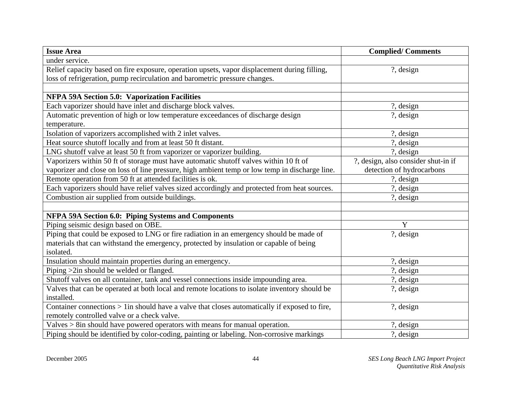| <b>Issue Area</b>                                                                              | <b>Complied/Comments</b>            |
|------------------------------------------------------------------------------------------------|-------------------------------------|
| under service.                                                                                 |                                     |
| Relief capacity based on fire exposure, operation upsets, vapor displacement during filling,   | ?, design                           |
| loss of refrigeration, pump recirculation and barometric pressure changes.                     |                                     |
|                                                                                                |                                     |
| NFPA 59A Section 5.0: Vaporization Facilities                                                  |                                     |
| Each vaporizer should have inlet and discharge block valves.                                   | ?, design                           |
| Automatic prevention of high or low temperature exceedances of discharge design                | ?, design                           |
| temperature.                                                                                   |                                     |
| Isolation of vaporizers accomplished with 2 inlet valves.                                      | ?, design                           |
| Heat source shutoff locally and from at least 50 ft distant.                                   | ?, design                           |
| LNG shutoff valve at least 50 ft from vaporizer or vaporizer building.                         | ?, design                           |
| Vaporizers within 50 ft of storage must have automatic shutoff valves within 10 ft of          | ?, design, also consider shut-in if |
| vaporizer and close on loss of line pressure, high ambient temp or low temp in discharge line. | detection of hydrocarbons           |
| Remote operation from 50 ft at attended facilities is ok.                                      | ?, design                           |
| Each vaporizers should have relief valves sized accordingly and protected from heat sources.   | $?$ , design                        |
| Combustion air supplied from outside buildings.                                                | $?$ , design                        |
|                                                                                                |                                     |
| <b>NFPA 59A Section 6.0: Piping Systems and Components</b>                                     |                                     |
| Piping seismic design based on OBE.                                                            | Y                                   |
| Piping that could be exposed to LNG or fire radiation in an emergency should be made of        | ?, design                           |
| materials that can withstand the emergency, protected by insulation or capable of being        |                                     |
| isolated.                                                                                      |                                     |
| Insulation should maintain properties during an emergency.                                     | ?, design                           |
| Piping > 2in should be welded or flanged.                                                      | $?$ , design                        |
| Shutoff valves on all container, tank and vessel connections inside impounding area.           | ?, design                           |
| Valves that can be operated at both local and remote locations to isolate inventory should be  | ?, design                           |
| installed.                                                                                     |                                     |
| Container connections > 1in should have a valve that closes automatically if exposed to fire,  | ?, design                           |
| remotely controlled valve or a check valve.                                                    |                                     |
| Valves > 8in should have powered operators with means for manual operation.                    | ?, design                           |
| Piping should be identified by color-coding, painting or labeling. Non-corrosive markings      | ?, design                           |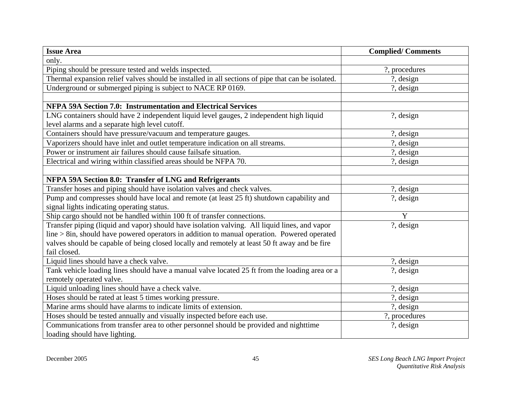| <b>Issue Area</b>                                                                                 | <b>Complied/Comments</b> |
|---------------------------------------------------------------------------------------------------|--------------------------|
| only.                                                                                             |                          |
| Piping should be pressure tested and welds inspected.                                             | ?, procedures            |
| Thermal expansion relief valves should be installed in all sections of pipe that can be isolated. | ?, design                |
| Underground or submerged piping is subject to NACE RP 0169.                                       | ?, design                |
|                                                                                                   |                          |
| <b>NFPA 59A Section 7.0: Instrumentation and Electrical Services</b>                              |                          |
| LNG containers should have 2 independent liquid level gauges, 2 independent high liquid           | ?, design                |
| level alarms and a separate high level cutoff.                                                    |                          |
| Containers should have pressure/vacuum and temperature gauges.                                    | $?$ , design             |
| Vaporizers should have inlet and outlet temperature indication on all streams.                    | ?, design                |
| Power or instrument air failures should cause failsafe situation.                                 | ?, design                |
| Electrical and wiring within classified areas should be NFPA 70.                                  | $?$ , design             |
|                                                                                                   |                          |
| NFPA 59A Section 8.0: Transfer of LNG and Refrigerants                                            |                          |
| Transfer hoses and piping should have isolation valves and check valves.                          | ?, design                |
| Pump and compresses should have local and remote (at least 25 ft) shutdown capability and         | ?, design                |
| signal lights indicating operating status.                                                        |                          |
| Ship cargo should not be handled within 100 ft of transfer connections.                           | Y                        |
| Transfer piping (liquid and vapor) should have isolation valving. All liquid lines, and vapor     | ?, design                |
| $line > 8$ in, should have powered operators in addition to manual operation. Powered operated    |                          |
| valves should be capable of being closed locally and remotely at least 50 ft away and be fire     |                          |
| fail closed.                                                                                      |                          |
| Liquid lines should have a check valve.                                                           | ?, design                |
| Tank vehicle loading lines should have a manual valve located 25 ft from the loading area or a    | $?$ , design             |
| remotely operated valve.                                                                          |                          |
| Liquid unloading lines should have a check valve.                                                 | ?, design                |
| Hoses should be rated at least 5 times working pressure.                                          | ?, design                |
| Marine arms should have alarms to indicate limits of extension.                                   | ?, design                |
| Hoses should be tested annually and visually inspected before each use.                           | ?, procedures            |
| Communications from transfer area to other personnel should be provided and nighttime             | ?, design                |
| loading should have lighting.                                                                     |                          |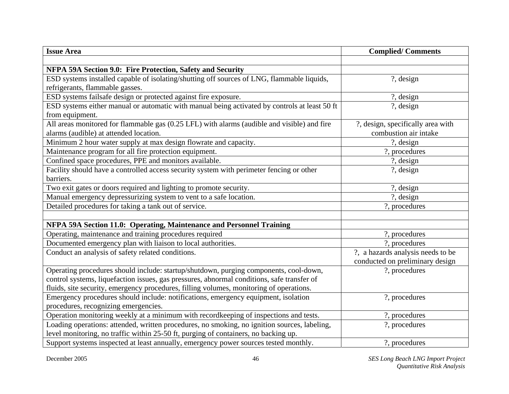| <b>Issue Area</b>                                                                             | <b>Complied/Comments</b>          |
|-----------------------------------------------------------------------------------------------|-----------------------------------|
|                                                                                               |                                   |
| NFPA 59A Section 9.0: Fire Protection, Safety and Security                                    |                                   |
| ESD systems installed capable of isolating/shutting off sources of LNG, flammable liquids,    | ?, design                         |
| refrigerants, flammable gasses.                                                               |                                   |
| ESD systems failsafe design or protected against fire exposure.                               | ?, design                         |
| ESD systems either manual or automatic with manual being activated by controls at least 50 ft | ?, design                         |
| from equipment.                                                                               |                                   |
| All areas monitored for flammable gas (0.25 LFL) with alarms (audible and visible) and fire   | ?, design, specifically area with |
| alarms (audible) at attended location.                                                        | combustion air intake             |
| Minimum 2 hour water supply at max design flowrate and capacity.                              | ?, design                         |
| Maintenance program for all fire protection equipment.                                        | ?, procedures                     |
| Confined space procedures, PPE and monitors available.                                        | ?, design                         |
| Facility should have a controlled access security system with perimeter fencing or other      | $?$ , design                      |
| barriers.                                                                                     |                                   |
| Two exit gates or doors required and lighting to promote security.                            | ?, design                         |
| Manual emergency depressurizing system to vent to a safe location.                            | ?, design                         |
| Detailed procedures for taking a tank out of service.                                         | ?, procedures                     |
|                                                                                               |                                   |
| NFPA 59A Section 11.0: Operating, Maintenance and Personnel Training                          |                                   |
| Operating, maintenance and training procedures required                                       | ?, procedures                     |
| Documented emergency plan with liaison to local authorities.                                  | ?, procedures                     |
| Conduct an analysis of safety related conditions.                                             | ?, a hazards analysis needs to be |
|                                                                                               | conducted on preliminary design   |
| Operating procedures should include: startup/shutdown, purging components, cool-down,         | ?, procedures                     |
| control systems, liquefaction issues, gas pressures, abnormal conditions, safe transfer of    |                                   |
| fluids, site security, emergency procedures, filling volumes, monitoring of operations.       |                                   |
| Emergency procedures should include: notifications, emergency equipment, isolation            | ?, procedures                     |
| procedures, recognizing emergencies.                                                          |                                   |
| Operation monitoring weekly at a minimum with recordkeeping of inspections and tests.         | ?, procedures                     |
| Loading operations: attended, written procedures, no smoking, no ignition sources, labeling,  | ?, procedures                     |
| level monitoring, no traffic within 25-50 ft, purging of containers, no backing up.           |                                   |
| Support systems inspected at least annually, emergency power sources tested monthly.          | ?, procedures                     |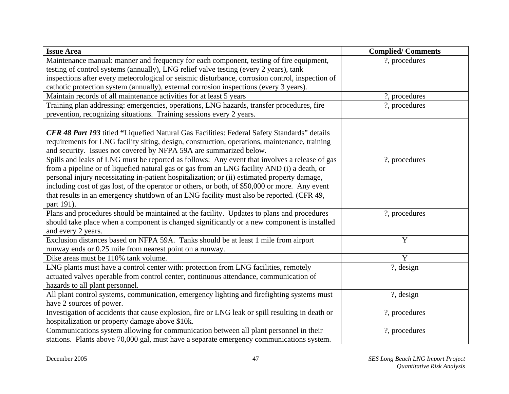| <b>Issue Area</b>                                                                                | <b>Complied/Comments</b> |
|--------------------------------------------------------------------------------------------------|--------------------------|
| Maintenance manual: manner and frequency for each component, testing of fire equipment,          | ?, procedures            |
| testing of control systems (annually), LNG relief valve testing (every 2 years), tank            |                          |
| inspections after every meteorological or seismic disturbance, corrosion control, inspection of  |                          |
| cathotic protection system (annually), external corrosion inspections (every 3 years).           |                          |
| Maintain records of all maintenance activities for at least 5 years                              | ?, procedures            |
| Training plan addressing: emergencies, operations, LNG hazards, transfer procedures, fire        | ?, procedures            |
| prevention, recognizing situations. Training sessions every 2 years.                             |                          |
|                                                                                                  |                          |
| CFR 48 Part 193 titled "Liquefied Natural Gas Facilities: Federal Safety Standards" details      |                          |
| requirements for LNG facility siting, design, construction, operations, maintenance, training    |                          |
| and security. Issues not covered by NFPA 59A are summarized below.                               |                          |
| Spills and leaks of LNG must be reported as follows: Any event that involves a release of gas    | ?, procedures            |
| from a pipeline or of liquefied natural gas or gas from an LNG facility AND (i) a death, or      |                          |
| personal injury necessitating in-patient hospitalization; or (ii) estimated property damage,     |                          |
| including cost of gas lost, of the operator or others, or both, of \$50,000 or more. Any event   |                          |
| that results in an emergency shutdown of an LNG facility must also be reported. (CFR 49,         |                          |
| part 191).                                                                                       |                          |
| Plans and procedures should be maintained at the facility. Updates to plans and procedures       | ?, procedures            |
| should take place when a component is changed significantly or a new component is installed      |                          |
| and every 2 years.                                                                               |                          |
| Exclusion distances based on NFPA 59A. Tanks should be at least 1 mile from airport              | Y                        |
| runway ends or 0.25 mile from nearest point on a runway.                                         |                          |
| Dike areas must be 110% tank volume.                                                             | Y                        |
| LNG plants must have a control center with: protection from LNG facilities, remotely             | ?, design                |
| actuated valves operable from control center, continuous attendance, communication of            |                          |
| hazards to all plant personnel.                                                                  |                          |
| All plant control systems, communication, emergency lighting and firefighting systems must       | ?, design                |
| have 2 sources of power.                                                                         |                          |
| Investigation of accidents that cause explosion, fire or LNG leak or spill resulting in death or | ?, procedures            |
| hospitalization or property damage above \$10k.                                                  |                          |
| Communications system allowing for communication between all plant personnel in their            | ?, procedures            |
| stations. Plants above 70,000 gal, must have a separate emergency communications system.         |                          |